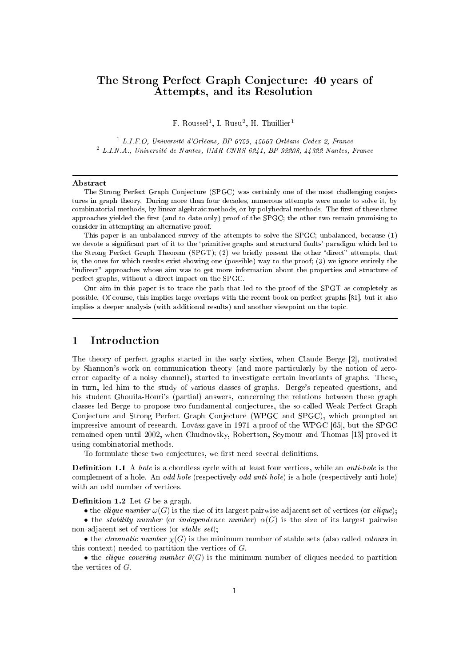# The Strong Perfect Graph Conjecture: 40 years of Attempts, and its Resolution

 $F.$  Roussel<sup>1</sup>, I. Rusu<sup>2</sup>, H. Thuillier<sup>1</sup>

<sup>1</sup> L.I.F.O, Université d'Orléans, BP 6759, 45067 Orléans Cedex 2, France <sup>2</sup> L.I.N.A., Université de Nantes, UMR CNRS 6241, BP 92208, 44322 Nantes, France

#### Abstract

The Strong Perfect Graph Conjecture (SPGC) was certainly one of the most challenging conjectures in graph theory. During more than four decades, numerous attempts were made to solve it, by combinatorial methods, by linear algebraic methods, or by polyhedral methods. The first of these three approaches yielded the first (and to date only) proof of the SPGC; the other two remain promising to consider in attempting an alternative proof.

This paper is an unbalanced survey of the attempts to solve the SPGC; unbalanced, because (1) we devote a significant part of it to the 'primitive graphs and structural faults' paradigm which led to the Strong Perfect Graph Theorem (SPGT); (2) we briefly present the other "direct" attempts, that is, the ones for which results exist showing one (possible) way to the proof; (3) we ignore entirely the "indirect" approaches whose aim was to get more information about the properties and structure of perfect graphs, without a direct impact on the SPGC.

Our aim in this paper is to trace the path that led to the proof of the SPGT as completely as possible. Of course, this implies large overlaps with the recent book on perfect graphs [81], but it also implies a deeper analysis (with additional results) and another viewpoint on the topic.

# 1 Introduction

The theory of perfect graphs started in the early sixties, when Claude Berge [2], motivated by Shannon's work on communication theory (and more particularly by the notion of zeroerror capacity of a noisy channel), started to investigate certain invariants of graphs. These, in turn, led him to the study of various classes of graphs. Berge's repeated questions, and his student Ghouila-Houri's (partial) answers, concerning the relations between these graph classes led Berge to propose two fundamental conjectures, the so-called Weak Perfect Graph Conjecture and Strong Perfect Graph Conjecture (WPGC and SPGC), which prompted an impressive amount of research. Lovász gave in 1971 a proof of the WPGC [65], but the SPGC remained open until 2002, when Chudnovsky, Robertson, Seymour and Thomas [13] proved it using combinatorial methods.

To formulate these two conjectures, we first need several definitions.

**Definition 1.1** A hole is a chordless cycle with at least four vertices, while an *anti-hole* is the complement of a hole. An odd hole (respectively odd anti-hole) is a hole (respectively anti-hole) with an odd number of vertices.

**Definition 1.2** Let  $G$  be a graph.

• the clique number  $\omega(G)$  is the size of its largest pairwise adjacent set of vertices (or clique);

• the *stability number* (or *independence number*)  $\alpha(G)$  is the size of its largest pairwise non-adjacent set of vertices (or *stable set*);

• the *chromatic number*  $\chi(G)$  is the minimum number of stable sets (also called *colours* in this context) needed to partition the vertices of G.

• the clique covering number  $\theta(G)$  is the minimum number of cliques needed to partition the vertices of G.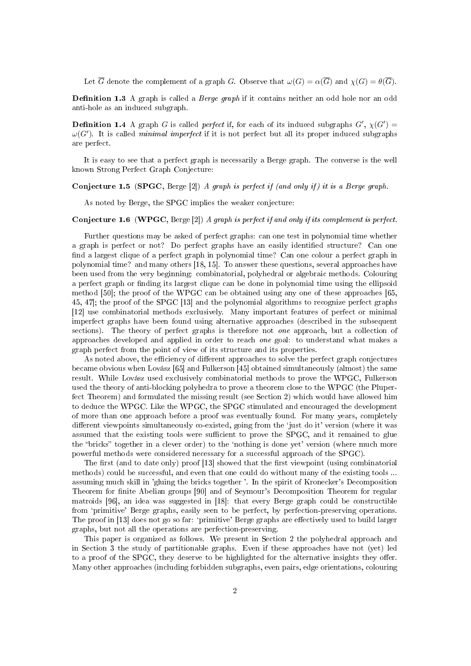Let  $\overline{G}$  denote the complement of a graph G. Observe that  $\omega(G) = \alpha(\overline{G})$  and  $\chi(G) = \theta(\overline{G})$ .

**Definition 1.3** A graph is called a *Berge graph* if it contains neither an odd hole nor an odd anti-hole as an induced subgraph.

**Definition 1.4** A graph G is called *perfect* if, for each of its induced subgraphs  $G'$ ,  $\chi(G')$  =  $\omega(G')$ . It is called minimal imperfect if it is not perfect but all its proper induced subgraphs are perfect.

It is easy to see that a perfect graph is necessarily a Berge graph. The converse is the well known Strong Perfect Graph Conjecture:

**Conjecture 1.5** (SPGC, Berge [2]) A graph is perfect if (and only if) it is a Berge graph.

As noted by Berge, the SPGC implies the weaker conjecture:

#### **Conjecture 1.6 (WPGC, Berge [2])** A graph is perfect if and only if its complement is perfect.

Further questions may be asked of perfect graphs: can one test in polynomial time whether a graph is perfect or not? Do perfect graphs have an easily identified structure? Can one find a largest clique of a perfect graph in polynomial time? Can one colour a perfect graph in polynomial time? and many others [18, 15]. To answer these questions, several approaches have been used from the very beginning: combinatorial, polyhedral or algebraic methods. Colouring a perfect graph or finding its largest clique can be done in polynomial time using the ellipsoid method [50]; the proof of the WPGC can be obtained using any one of these approaches [65, 45, 47]; the proof of the SPGC [13] and the polynomial algorithms to recognize perfect graphs [12] use combinatorial methods exclusively. Many important features of perfect or minimal imperfect graphs have been found using alternative approaches (described in the subsequent sections). The theory of perfect graphs is therefore not one approach, but a collection of approaches developed and applied in order to reach one goal: to understand what makes a graph perfect from the point of view of its structure and its properties.

As noted above, the efficiency of different approaches to solve the perfect graph conjectures became obvious when Lovász [65] and Fulkerson [45] obtained simultaneously (almost) the same result. While Lovász used exclusively combinatorial methods to prove the WPGC, Fulkerson used the theory of anti-blocking polyhedra to prove a theorem close to the WPGC (the Pluperfect Theorem) and formulated the missing result (see Section 2) which would have allowed him to deduce the WPGC. Like the WPGC, the SPGC stimulated and encouraged the development of more than one approach before a proof was eventually found. For many years, completely different viewpoints simultaneously co-existed, going from the 'just do it' version (where it was assumed that the existing tools were sufficient to prove the SPGC, and it remained to glue the "bricks" together in a clever order) to the 'nothing is done yet' version (where much more powerful methods were considered necessary for a successful approach of the SPGC).

The first (and to date only) proof  $[13]$  showed that the first viewpoint (using combinatorial methods) could be successful, and even that one could do without many of the existing tools ... assuming much skill in 'gluing the bricks together '. In the spirit of Kronecker's Decomposition Theorem for finite Abelian groups [90] and of Seymour's Decomposition Theorem for regular matroids [96], an idea was suggested in [18]: that every Berge graph could be constructible from `primitive' Berge graphs, easily seen to be perfect, by perfection-preserving operations. The proof in [13] does not go so far: 'primitive' Berge graphs are effectively used to build larger graphs, but not all the operations are perfection-preserving.

This paper is organized as follows. We present in Section 2 the polyhedral approach and in Section 3 the study of partitionable graphs. Even if these approaches have not (yet) led to a proof of the SPGC, they deserve to be highlighted for the alternative insights they offer. Many other approaches (including forbidden subgraphs, even pairs, edge orientations, colouring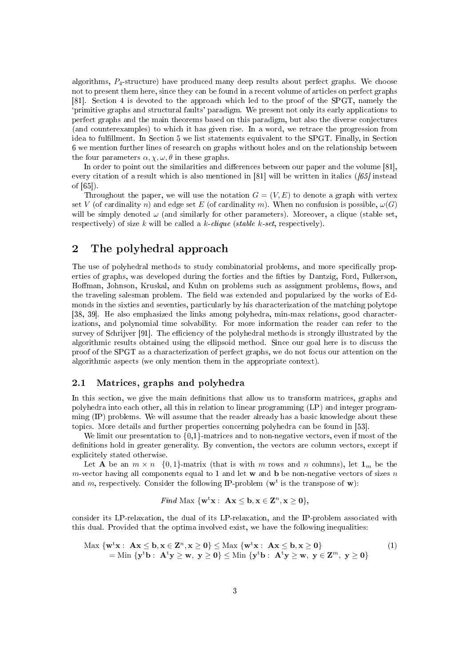algorithms,  $P_4$ -structure) have produced many deep results about perfect graphs. We choose not to present them here, since they can be found in a recent volume of articles on perfect graphs [81]. Section 4 is devoted to the approach which led to the proof of the SPGT, namely the `primitive graphs and structural faults' paradigm. We present not only its early applications to perfect graphs and the main theorems based on this paradigm, but also the diverse conjectures (and counterexamples) to which it has given rise. In a word, we retrace the progression from idea to fulllment. In Section 5 we list statements equivalent to the SPGT. Finally, in Section 6 we mention further lines of research on graphs without holes and on the relationship between the four parameters  $\alpha, \chi, \omega, \theta$  in these graphs.

In order to point out the similarities and differences between our paper and the volume  $[81]$ , every citation of a result which is also mentioned in [81] will be written in italics  $(165)$  instead of [65]).

Throughout the paper, we will use the notation  $G = (V, E)$  to denote a graph with vertex set V (of cardinality n) and edge set E (of cardinality m). When no confusion is possible,  $\omega(G)$ will be simply denoted  $\omega$  (and similarly for other parameters). Moreover, a clique (stable set, respectively) of size k will be called a  $k$ -clique (stable k-set, respectively).

# 2 The polyhedral approach

The use of polyhedral methods to study combinatorial problems, and more specifically properties of graphs, was developed during the forties and the fties by Dantzig, Ford, Fulkerson, Hoffman, Johnson, Kruskal, and Kuhn on problems such as assignment problems, flows, and the traveling salesman problem. The field was extended and popularized by the works of Edmonds in the sixties and seventies, particularly by his characterization of the matching polytope [38, 39]. He also emphasized the links among polyhedra, min-max relations, good characterizations, and polynomial time solvability. For more information the reader can refer to the survey of Schrijver [91]. The efficiency of the polyhedral methods is strongly illustrated by the algorithmic results obtained using the ellipsoid method. Since our goal here is to discuss the proof of the SPGT as a characterization of perfect graphs, we do not focus our attention on the algorithmic aspects (we only mention them in the appropriate context).

### 2.1 Matrices, graphs and polyhedra

In this section, we give the main definitions that allow us to transform matrices, graphs and polyhedra into each other, all this in relation to linear programming (LP) and integer programming (IP) problems. We will assume that the reader already has a basic knowledge about these topics. More details and further properties concerning polyhedra can be found in [53].

We limit our presentation to  $\{0,1\}$ -matrices and to non-negative vectors, even if most of the definitions hold in greater generality. By convention, the vectors are column vectors, except if explicitely stated otherwise.

Let **A** be an  $m \times n$  {0,1}-matrix (that is with m rows and n columns), let  $\mathbf{1}_m$  be the m-vector having all components equal to 1 and let w and b be non-negative vectors of sizes n and m, respectively. Consider the following IP-problem ( $\mathbf{w}^t$  is the transpose of  $\mathbf{w}$ ):

Find Max 
$$
\{ \mathbf{w}^{\mathsf{t}} \mathbf{x} : \mathbf{A} \mathbf{x} \leq \mathbf{b}, \mathbf{x} \in \mathbf{Z}^n, \mathbf{x} \geq \mathbf{0} \},\
$$

consider its LP-relaxation, the dual of its LP-relaxation, and the IP-problem associated with this dual. Provided that the optima involved exist, we have the following inequalities:

$$
\begin{array}{l}\n\text{Max } \{ \mathbf{w}^t \mathbf{x} : \ \mathbf{A} \mathbf{x} \le \mathbf{b}, \mathbf{x} \in \mathbf{Z}^n, \mathbf{x} \ge \mathbf{0} \} \le \text{Max } \{ \mathbf{w}^t \mathbf{x} : \ \mathbf{A} \mathbf{x} \le \mathbf{b}, \mathbf{x} \ge \mathbf{0} \} \\
= \text{Min } \{ \mathbf{y}^t \mathbf{b} : \ \mathbf{A}^t \mathbf{y} \ge \mathbf{w}, \ \mathbf{y} \ge \mathbf{0} \} \le \text{Min } \{ \mathbf{y}^t \mathbf{b} : \ \mathbf{A}^t \mathbf{y} \ge \mathbf{w}, \ \mathbf{y} \in \mathbf{Z}^m, \ \mathbf{y} \ge \mathbf{0} \}\n\end{array} \tag{1}
$$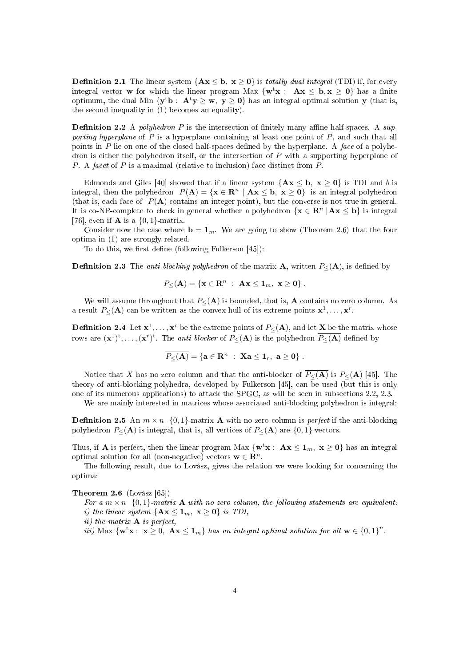**Definition 2.1** The linear system  $\{Ax \leq b, x \geq 0\}$  is *totally dual integral* (TDI) if, for every integral vector **w** for which the linear program Max  $\{w^t x : Ax \leq b, x \geq 0\}$  has a finite optimum, the dual Min  $\{y^t b: A^t y \geq w, y \geq 0\}$  has an integral optimal solution y (that is, the second inequality in (1) becomes an equality).

**Definition 2.2** A polyhedron P is the intersection of finitely many affine half-spaces. A supporting hyperplane of  $P$  is a hyperplane containing at least one point of  $P$ , and such that all points in P lie on one of the closed half-spaces defined by the hyperplane. A face of a polyhedron is either the polyhedron itself, or the intersection of  $P$  with a supporting hyperplane of P. A facet of P is a maximal (relative to inclusion) face distinct from P.

Edmonds and Giles [40] showed that if a linear system  $\{Ax \leq b, x \geq 0\}$  is TDI and b is integral, then the polyhedron  $P(A) = \{x \in \mathbb{R}^n \mid Ax \leq b, x \geq 0\}$  is an integral polyhedron (that is, each face of  $P(A)$  contains an integer point), but the converse is not true in general. It is co-NP-complete to check in general whether a polyhedron  $\{x \in \mathbb{R}^n \mid Ax \leq b\}$  is integral [76], even if **A** is a  $\{0,1\}$ -matrix.

Consider now the case where  $\mathbf{b} = \mathbf{1}_m$ . We are going to show (Theorem 2.6) that the four optima in (1) are strongly related.

To do this, we first define (following Fulkerson  $[45]$ ):

**Definition 2.3** The *anti-blocking polyhedron* of the matrix A, written  $P_{\leq}(\mathbf{A})$ , is defined by

$$
P_{\leq}(\mathbf{A}) = \{ \mathbf{x} \in \mathbf{R}^n : \ \mathbf{A}\mathbf{x} \leq \mathbf{1}_m, \ \mathbf{x} \geq \mathbf{0} \} .
$$

We will assume throughout that  $P_{\leq}(A)$  is bounded, that is, A contains no zero column. As a result  $P_{\leq}({\bf A})$  can be written as the convex hull of its extreme points  ${\bf x}^1,\ldots,{\bf x}^r.$ 

**Definition 2.4** Let  $\mathbf{x}^1,\ldots,\mathbf{x}^r$  be the extreme points of  $P_\leq(\mathbf{A}),$  and let  $\mathbf{X}$  be the matrix whose rows are  $({\bf x}^1)^{\rm t},\ldots,({\bf x}^r)^{\rm t}.$  The *anti-blocker* of  $P_{\leq}({\bf A})$  is the polyhedron  $\overline{P_{\leq}({\bf A})}$  defined by

$$
\overline{P_\leq({\bf A})}=\{{\bf a}\in{\bf R}^n\;:\;\mathbf{X}{\bf a}\leq\mathbf{1}_r,\;{\bf a}\geq{\bf 0}\}\;.
$$

Notice that X has no zero column and that the anti-blocker of  $\overline{P_{\leq}(A)}$  is  $P_{\leq}(A)$  [45]. The theory of anti-blocking polyhedra, developed by Fulkerson [45], can be used (but this is only one of its numerous applications) to attack the SPGC, as will be seen in subsections 2.2, 2.3.

We are mainly interested in matrices whose associated anti-blocking polyhedron is integral:

**Definition 2.5** An  $m \times n$  {0, 1}-matrix **A** with no zero column is *perfect* if the anti-blocking polyhedron  $P_{\leq}({\bf A})$  is integral, that is, all vertices of  $P_{\leq}({\bf A})$  are {0,1}-vectors.

Thus, if **A** is perfect, then the linear program Max  $\{w^{\text{t}}x : Ax \leq 1_m, x \geq 0\}$  has an integral optimal solution for all (non-negative) vectors  $\mathbf{w} \in \mathbb{R}^n$ .

The following result, due to Lovász, gives the relation we were looking for concerning the optima:

#### Theorem 2.6 (Lovász [65])

For a  $m \times n$  {0, 1}-matrix **A** with no zero column, the following statements are equivalent: i) the linear system  $\{Ax \leq 1_m, x \geq 0\}$  is TDI,

ii) the matrix  $\bf{A}$  is perfect,

iii) Max  $\{ \mathbf{w}^{\mathrm{t}} \mathbf{x} : \ \mathbf{x} \geq 0, \ \mathbf{A} \mathbf{x} \leq \mathbf{1}_m \}$  has an integral optimal solution for all  $\mathbf{w} \in \left\{ 0,1 \right\}^n$ .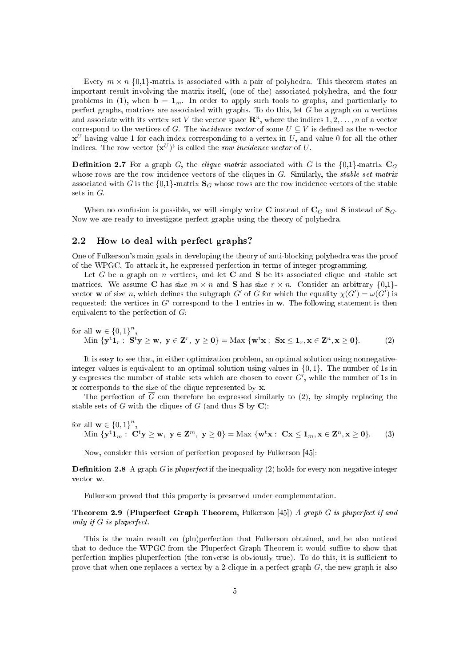Every  $m \times n$  {0,1}-matrix is associated with a pair of polyhedra. This theorem states an important result involving the matrix itself, (one of the) associated polyhedra, and the four problems in (1), when  $\mathbf{b} = \mathbf{1}_m$ . In order to apply such tools to graphs, and particularly to perfect graphs, matrices are associated with graphs. To do this, let  $G$  be a graph on n vertices and associate with its vertex set V the vector space  $\mathbb{R}^n$ , where the indices  $1, 2, \ldots, n$  of a vector correspond to the vertices of G. The *incidence vector* of some  $U \subseteq V$  is defined as the *n*-vector  $\mathbf{x}^U$  having value 1 for each index corresponding to a vertex in  $U,$  and value 0 for all the other indices. The row vector  $(\mathbf{x}^U)^{\text{t}}$  is called the *row incidence vector* of  $U$ .

**Definition 2.7** For a graph G, the *clique matrix* associated with G is the  $\{0,1\}$ -matrix  $C_G$ whose rows are the row incidence vectors of the cliques in  $G$ . Similarly, the *stable set matrix* associated with G is the  $\{0,1\}$ -matrix  $\mathbf{S}_G$  whose rows are the row incidence vectors of the stable sets in G.

When no confusion is possible, we will simply write C instead of  $C_G$  and S instead of  $S_G$ . Now we are ready to investigate perfect graphs using the theory of polyhedra.

### 2.2 How to deal with perfect graphs?

One of Fulkerson's main goals in developing the theory of anti-blocking polyhedra was the proof of the WPGC. To attack it, he expressed perfection in terms of integer programming.

Let G be a graph on n vertices, and let C and S be its associated clique and stable set matrices. We assume C has size  $m \times n$  and S has size  $r \times n$ . Consider an arbitrary  $\{0,1\}$ vector **w** of size *n*, which defines the subgraph G' of G for which the equality  $\chi(G') = \omega(G')$  is requested: the vertices in  $G'$  correspond to the 1 entries in  $w$ . The following statement is then equivalent to the perfection of  $G$ :

for all 
$$
\mathbf{w} \in \{0,1\}^n
$$
,  
Min  $\{\mathbf{y}^{\mathsf{t}}\mathbf{1}_r : \mathbf{S}^{\mathsf{t}}\mathbf{y} \ge \mathbf{w}, \ \mathbf{y} \in \mathbf{Z}^r, \ \mathbf{y} \ge \mathbf{0}\} = \text{Max } \{\mathbf{w}^{\mathsf{t}}\mathbf{x} : \ \mathbf{S}\mathbf{x} \le \mathbf{1}_r, \mathbf{x} \in \mathbf{Z}^n, \mathbf{x} \ge \mathbf{0}\}. \tag{2}$ 

It is easy to see that, in either optimization problem, an optimal solution using nonnegativeinteger values is equivalent to an optimal solution using values in  $\{0, 1\}$ . The number of 1s in **y** expresses the number of stable sets which are chosen to cover  $G'$ , while the number of 1s in x corresponds to the size of the clique represented by x.

The perfection of  $\overline{G}$  can therefore be expressed similarly to (2), by simply replacing the stable sets of G with the cliques of G (and thus  $S$  by  $C$ ):

for all 
$$
\mathbf{w} \in \{0,1\}^n
$$
,  
Min  $\{\mathbf{y}^{\mathsf{t}}\mathbf{1}_m : \mathbf{C}^{\mathsf{t}}\mathbf{y} \ge \mathbf{w}, \ \mathbf{y} \in \mathbf{Z}^m, \ \mathbf{y} \ge \mathbf{0}\} = \text{Max } \{\mathbf{w}^{\mathsf{t}}\mathbf{x} : \ \mathbf{C}\mathbf{x} \le \mathbf{1}_m, \mathbf{x} \in \mathbf{Z}^n, \mathbf{x} \ge \mathbf{0}\}.$  (3)

Now, consider this version of perfection proposed by Fulkerson [45]:

**Definition 2.8** A graph G is pluperfect if the inequality (2) holds for every non-negative integer vector w.

Fulkerson proved that this property is preserved under complementation.

**Theorem 2.9 (Pluperfect Graph Theorem, Fulkerson** [45]) A graph G is pluperfect if and only if  $\overline{G}$  is pluperfect.

This is the main result on (plu)perfection that Fulkerson obtained, and he also noticed that to deduce the WPGC from the Pluperfect Graph Theorem it would suffice to show that perfection implies pluperfection (the converse is obviously true). To do this, it is sufficient to prove that when one replaces a vertex by a 2-clique in a perfect graph  $G$ , the new graph is also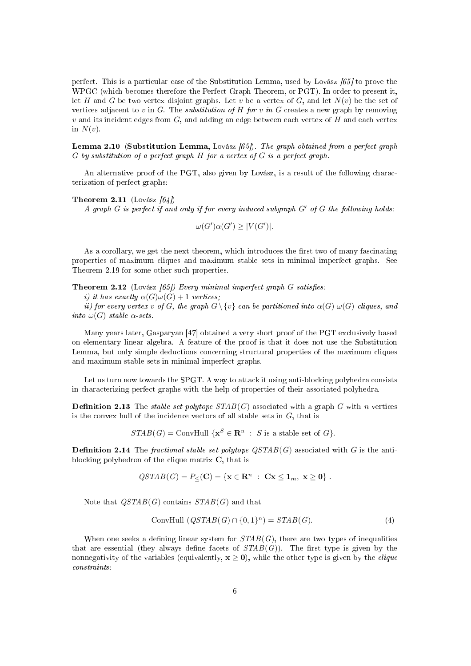perfect. This is a particular case of the Substitution Lemma, used by Lovász  $\frac{65}{10}$  to prove the WPGC (which becomes therefore the Perfect Graph Theorem, or PGT). In order to present it, let H and G be two vertex disjoint graphs. Let v be a vertex of G, and let  $N(v)$  be the set of vertices adjacent to v in G. The *substitution of H for v in G* creates a new graph by removing v and its incident edges from  $G$ , and adding an edge between each vertex of H and each vertex in  $N(v)$ .

**Lemma 2.10 (Substitution Lemma,** Lovász  $(65)$ ). The graph obtained from a perfect graph  $G$  by substitution of a perfect graph  $H$  for a vertex of  $G$  is a perfect graph.

An alternative proof of the PGT, also given by Lovász, is a result of the following characterization of perfect graphs:

#### Theorem 2.11 (Lovász  $\lceil 64 \rceil$ )

A graph  $G$  is perfect if and only if for every induced subgraph  $G'$  of  $G$  the following holds:

$$
\omega(G')\alpha(G') \geq |V(G')|.
$$

As a corollary, we get the next theorem, which introduces the first two of many fascinating properties of maximum cliques and maximum stable sets in minimal imperfect graphs. See Theorem 2.19 for some other such properties.

**Theorem 2.12** (Lovász [65]) Every minimal imperfect graph  $G$  satisfies:

i) it has exactly  $\alpha(G)\omega(G) + 1$  vertices;

ii) for every vertex v of G, the graph  $G\setminus \{v\}$  can be partitioned into  $\alpha(G) \omega(G)$ -cliques, and into  $\omega(G)$  stable  $\alpha$ -sets.

Many years later, Gasparyan [47] obtained a very short proof of the PGT exclusively based on elementary linear algebra. A feature of the proof is that it does not use the Substitution Lemma, but only simple deductions concerning structural properties of the maximum cliques and maximum stable sets in minimal imperfect graphs.

Let us turn now towards the SPGT. A way to attack it using anti-blocking polyhedra consists in characterizing perfect graphs with the help of properties of their associated polyhedra.

**Definition 2.13** The *stable set polytope STAB(G)* associated with a graph G with n vertices is the convex hull of the incidence vectors of all stable sets in  $G$ , that is

$$
STAB(G) = \text{ConvHull } \{ \mathbf{x}^S \in \mathbf{R}^n : S \text{ is a stable set of } G \}.
$$

**Definition 2.14** The fractional stable set polytope  $QSTAB(G)$  associated with G is the antiblocking polyhedron of the clique matrix  $C$ , that is

$$
QSTAB(G) = P_{\leq}(C) = \{x \in \mathbf{R}^n : Cx \leq \mathbf{1}_m, x \geq 0\}.
$$

Note that  $QSTAB(G)$  contains  $STAB(G)$  and that

$$
ConvHull (QSTAB(G) \cap \{0,1\}^n) = STAB(G).
$$
\n(4)

When one seeks a defining linear system for  $STAB(G)$ , there are two types of inequalities that are essential (they always define facets of  $STAB(G)$ ). The first type is given by the nonnegativity of the variables (equivalently,  $x \ge 0$ ), while the other type is given by the *clique* constraints: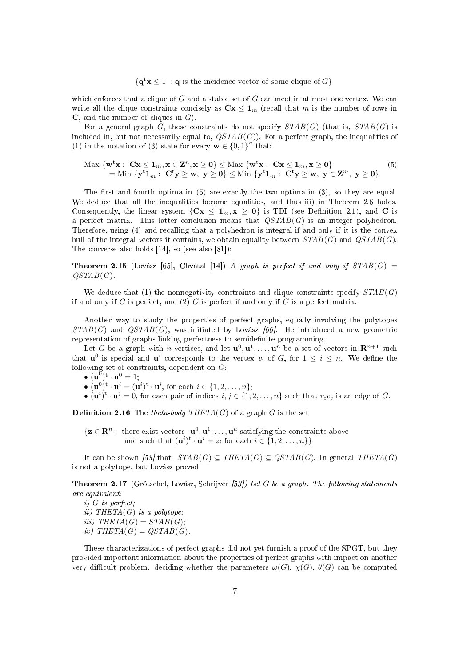$\{q^{\mathrm{t}}x \leq 1\; : q \text{ is the incidence vector of some clique of } G\}$ 

which enforces that a clique of  $G$  and a stable set of  $G$  can meet in at most one vertex. We can write all the clique constraints concisely as  $\mathbf{Cx} \leq \mathbf{1}_m$  (recall that m is the number of rows in  $\mathbf C$ , and the number of cliques in  $G$ .

For a general graph G, these constraints do not specify  $STAB(G)$  (that is,  $STAB(G)$  is included in, but not necessarily equal to,  $QSTAB(G)$ ). For a perfect graph, the inequalities of (1) in the notation of (3) state for every  $\mathbf{w} \in \{0,1\}^{n'}$  that:

$$
\begin{aligned}\n\text{Max } \{ \mathbf{w}^t \mathbf{x} : \mathbf{C} \mathbf{x} \le \mathbf{1}_m, \mathbf{x} \in \mathbf{Z}^n, \mathbf{x} \ge \mathbf{0} \} &\le \text{Max } \{ \mathbf{w}^t \mathbf{x} : \mathbf{C} \mathbf{x} \le \mathbf{1}_m, \mathbf{x} \ge \mathbf{0} \} \\
&= \text{Min } \{ \mathbf{y}^t \mathbf{1}_m : \mathbf{C}^t \mathbf{y} \ge \mathbf{w}, \ \mathbf{y} \ge \mathbf{0} \} \le \text{Min } \{ \mathbf{y}^t \mathbf{1}_m : \mathbf{C}^t \mathbf{y} \ge \mathbf{w}, \ \mathbf{y} \in \mathbf{Z}^m, \ \mathbf{y} \ge \mathbf{0} \}\n\end{aligned}\n\tag{5}
$$

The first and fourth optima in  $(5)$  are exactly the two optima in  $(3)$ , so they are equal. We deduce that all the inequalities become equalities, and thus iii) in Theorem 2.6 holds. Consequently, the linear system  $\{Cx \leq 1_m, x \geq 0\}$  is TDI (see Definition 2.1), and C is a perfect matrix. This latter conclusion means that  $QSTAB(G)$  is an integer polyhedron. Therefore, using (4) and recalling that a polyhedron is integral if and only if it is the convex hull of the integral vectors it contains, we obtain equality between  $STAB(G)$  and  $OSTAB(G)$ . The converse also holds [14], so (see also [81]):

**Theorem 2.15** (Lovász [65], Chvátal [14]) A graph is perfect if and only if  $STAB(G)$  =  $QSTAB(G)$ .

We deduce that (1) the nonnegativity constraints and clique constraints specify  $STAB(G)$ if and only if G is perfect, and (2) G is perfect if and only if C is a perfect matrix.

Another way to study the properties of perfect graphs, equally involving the polytopes  $STAB(G)$  and  $QSTAB(G)$ , was initiated by Lovász [66]. He introduced a new geometric representation of graphs linking perfectness to semidefinite programming.

Let G be a graph with n vertices, and let  $\mathbf{u}^0, \mathbf{u}^1, \ldots, \mathbf{u}^n$  be a set of vectors in  $\mathbf{R}^{n+1}$  such that  $u^0$  is special and  $u^i$  corresponds to the vertex  $v_i$  of G, for  $1 \leq i \leq n$ . We define the following set of constraints, dependent on  $G$ :

 $\bullet \, (\mathbf{u}^0)^{\text{t}} \cdot \mathbf{u}^0 = 1;$ 

- $(\mathbf{u}^0)^{\text{t}} \cdot \mathbf{u}^i = (\mathbf{u}^i)^{\text{t}} \cdot \mathbf{u}^i$ , for each  $i \in \{1, 2, \ldots, n\}$ ;
- $(\mathbf{u}^i)^{\text{t}} \cdot \mathbf{u}^j = 0$ , for each pair of indices  $i, j \in \{1, 2, ..., n\}$  such that  $v_i v_j$  is an edge of G.

**Definition 2.16** The theta-body THETA(G) of a graph G is the set

 ${z \in \mathbf{R}^n : \text{ there exist vectors } \mathbf{u}^0, \mathbf{u}^1, \ldots, \mathbf{u}^n \text{ satisfying the constraints above}}$ and such that  $(\mathbf{u}^i)^{\text{t}} \cdot \mathbf{u}^i = z_i$  for each  $i \in \{1, 2, ..., n\}\}$ 

It can be shown [53] that  $STAB(G) \subseteq THETA(G) \subseteq QSTAB(G)$ . In general  $THETA(G)$ is not a polytope, but Lovász proved

**Theorem 2.17** (Grötschel, Lovász, Schrijver [53]) Let G be a graph. The following statements are equivalent:

i) G is perfect; ii) THETA(G) is a polytope; iii) THETA(G) =  $STAB(G)$ ; iv) THETA(G) =  $QSTAB(G)$ .

These characterizations of perfect graphs did not yet furnish a proof of the SPGT, but they provided important information about the properties of perfect graphs with impact on another very difficult problem: deciding whether the parameters  $\omega(G)$ ,  $\chi(G)$ ,  $\theta(G)$  can be computed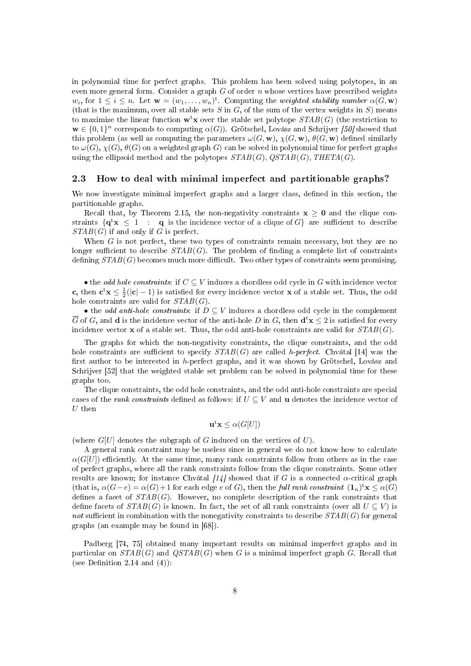in polynomial time for perfect graphs. This problem has been solved using polytopes, in an even more general form. Consider a graph  $G$  of order n whose vertices have prescribed weights  $w_i$ , for  $1 \leq i \leq n$ . Let  $\mathbf{w} = (w_1, \ldots, w_n)^t$ . Computing the *weighted stability number*  $\alpha(G, \mathbf{w})$ (that is the maximum, over all stable sets S in G, of the sum of the vertex weights in S) means to maximize the linear function  $\mathbf{w}^{\mathsf{t}}\mathbf{x}$  over the stable set polytope  $STAB(G)$  (the restriction to  $\mathbf{w} \in \{0,1\}^n$  corresponds to computing  $\alpha(G)$ ). Grötschel, Lovász and Schrijver [50] showed that this problem (as well as computing the parameters  $\omega(G, \mathbf{w}), \chi(G, \mathbf{w}), \theta(G, \mathbf{w})$  defined similarly to  $\omega(G)$ ,  $\chi(G)$ ,  $\theta(G)$  on a weighted graph G) can be solved in polynomial time for perfect graphs using the ellipsoid method and the polytopes  $STAB(G)$ ,  $QSTAB(G)$ ,  $THETA(G)$ .

### 2.3 How to deal with minimal imperfect and partitionable graphs?

We now investigate minimal imperfect graphs and a larger class, defined in this section, the partitionable graphs.

Recall that, by Theorem 2.15, the non-negativity constraints  $x \ge 0$  and the clique constraints  $\{q^t x \leq 1$  : q is the incidence vector of a clique of G} are sufficient to describe  $STAB(G)$  if and only if G is perfect.

When  $G$  is not perfect, these two types of constraints remain necessary, but they are no longer sufficient to describe  $STAB(G)$ . The problem of finding a complete list of constraints defining  $STAB(G)$  becomes much more difficult. Two other types of constraints seem promising.

• the odd hole constraints: if  $C \subseteq V$  induces a chordless odd cycle in G with incidence vector c, then  $c^{\rm t}x \leq \frac{1}{2}(|c|-1)$  is satisfied for every incidence vector x of a stable set. Thus, the odd hole constraints are valid for  $STAB(G)$ .

• the *odd anti-hole constraints*: if  $D \subseteq V$  induces a chordless odd cycle in the complement  $\overline{G}$  of  $G,$  and  ${\bf d}$  is the incidence vector of the anti-hole  $D$  in  $G,$  then  ${\bf d}^{\bf t}{\bf x}\leq 2$  is satisfied for every incidence vector  $\bf{x}$  of a stable set. Thus, the odd anti-hole constraints are valid for  $STAB(G)$ .

The graphs for which the non-negativity constraints, the clique constraints, and the odd hole constraints are sufficient to specify  $STAB(G)$  are called h-perfect. Chvátal [14] was the first author to be interested in h-perfect graphs, and it was shown by Grötschel, Lovász and Schrijver [52] that the weighted stable set problem can be solved in polynomial time for these graphs too.

The clique constraints, the odd hole constraints, and the odd anti-hole constraints are special cases of the *rank constraints* defined as follows: if  $U \subseteq V$  and u denotes the incidence vector of  $U$  then

$$
\mathbf{u}^{\mathrm{t}} \mathbf{x} \le \alpha(G[U])
$$

(where  $G[U]$  denotes the subgraph of G induced on the vertices of U).

A general rank constraint may be useless since in general we do not know how to calculate  $\alpha(G[U])$  efficiently. At the same time, many rank constraints follow from others as in the case of perfect graphs, where all the rank constraints follow from the clique constraints. Some other results are known; for instance Chvátal  $1/4$  showed that if G is a connected  $\alpha$ -critical graph (that is,  $\alpha(G-e) = \alpha(G)+1$  for each edge e of G), then the full rank constraint  $(\mathbf{1}_n)^{\mathbf{t}} \mathbf{x} \leq \alpha(G)$ defines a facet of  $STAB(G)$ . However, no complete description of the rank constraints that define facets of  $STAB(G)$  is known. In fact, the set of all rank constraints (over all  $U\subseteq V$ ) is not sufficient in combination with the nonegativity constraints to describe  $STAB(G)$  for general graphs (an example may be found in [68]).

Padberg [74, 75] obtained many important results on minimal imperfect graphs and in particular on  $STAB(G)$  and  $QSTAB(G)$  when G is a minimal imperfect graph G. Recall that (see Definition 2.14 and  $(4)$ ):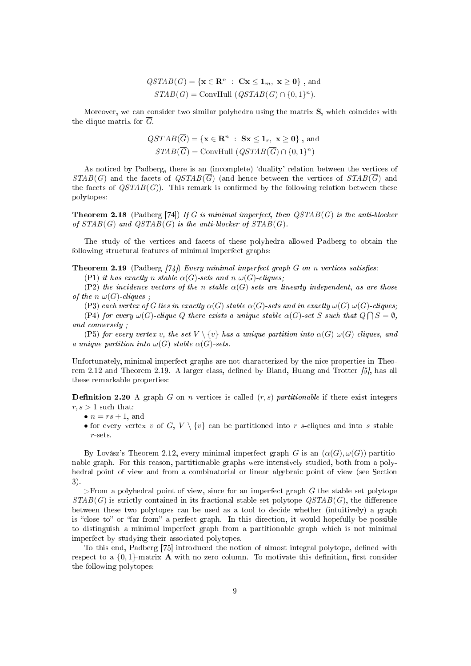$$
QSTAB(G) = \{ \mathbf{x} \in \mathbf{R}^n : \mathbf{Cx} \le \mathbf{1}_m, \mathbf{x} \ge \mathbf{0} \}, \text{ and}
$$
  

$$
STAB(G) = \text{ConvHull } (QSTAB(G) \cap \{0, 1\}^n).
$$

Moreover, we can consider two similar polyhedra using the matrix S, which coincides with the clique matrix for  $\overline{G}$ .

$$
QSTAB(\overline{G}) = \{ \mathbf{x} \in \mathbf{R}^n : \ \mathbf{S} \mathbf{x} \le \mathbf{1}_r, \ \mathbf{x} \ge \mathbf{0} \}, \ \text{and}
$$

$$
STAB(\overline{G}) = \text{ConvHull } (QSTAB(\overline{G}) \cap \{0,1\}^n)
$$

As noticed by Padberg, there is an (incomplete) `duality' relation between the vertices of  $STAB(G)$  and the facets of  $QSTAB(\overline{G})$  (and hence between the vertices of  $STAB(\overline{G})$  and the facets of  $QSTAB(G)$ . This remark is confirmed by the following relation between these polytopes:

**Theorem 2.18** (Padberg [74]) If G is minimal imperfect, then  $QSTAB(G)$  is the anti-blocker of  $STAB(\overline{G})$  and  $OSTAB(\overline{G})$  is the anti-blocker of  $STAB(G)$ .

The study of the vertices and facets of these polyhedra allowed Padberg to obtain the following structural features of minimal imperfect graphs:

#### **Theorem 2.19** (Padberg  $[74]$ ) Every minimal imperfect graph G on n vertices satisfies:

(P1) it has exactly n stable  $\alpha(G)$ -sets and n  $\omega(G)$ -cliques;

(P2) the incidence vectors of the n stable  $\alpha(G)$ -sets are linearly independent, as are those of the  $n \omega(G)$ -cliques;

(P3) each vertex of G lies in exactly  $\alpha(G)$  stable  $\alpha(G)$ -sets and in exactly  $\omega(G)$   $\omega(G)$ -cliques;

(P4) for every  $\omega(G)$ -clique Q there exists a unique stable  $\alpha(G)$ -set S such that  $Q \cap S = \emptyset$ , and conversely ;

(P5) for every vertex v, the set  $V \setminus \{v\}$  has a unique partition into  $\alpha(G) \omega(G)$ -cliques, and a unique partition into  $\omega(G)$  stable  $\alpha(G)$ -sets.

Unfortunately, minimal imperfect graphs are not characterized by the nice properties in Theorem 2.12 and Theorem 2.19. A larger class, defined by Bland, Huang and Trotter  $\frac{5}{10}$ , has all these remarkable properties:

**Definition 2.20** A graph G on n vertices is called  $(r, s)$ -partitionable if there exist integers  $r, s > 1$  such that:

- $n = rs + 1$ , and
- for every vertex v of G,  $V \setminus \{v\}$  can be partitioned into r s-cliques and into s stable r-sets.

By Lovász's Theorem 2.12, every minimal imperfect graph G is an  $(\alpha(G), \omega(G))$ -partitionable graph. For this reason, partitionable graphs were intensively studied, both from a polyhedral point of view and from a combinatorial or linear algebraic point of view (see Section 3).

>From a polyhedral point of view, since for an imperfect graph  $G$  the stable set polytope  $STAB(G)$  is strictly contained in its fractional stable set polytope  $QSTAB(G)$ , the difference between these two polytopes can be used as a tool to decide whether (intuitively) a graph is "close to" or "far from" a perfect graph. In this direction, it would hopefully be possible to distinguish a minimal imperfect graph from a partitionable graph which is not minimal imperfect by studying their associated polytopes.

To this end, Padberg [75] introduced the notion of almost integral polytope, dened with respect to a  $\{0,1\}$ -matrix **A** with no zero column. To motivate this definition, first consider the following polytopes: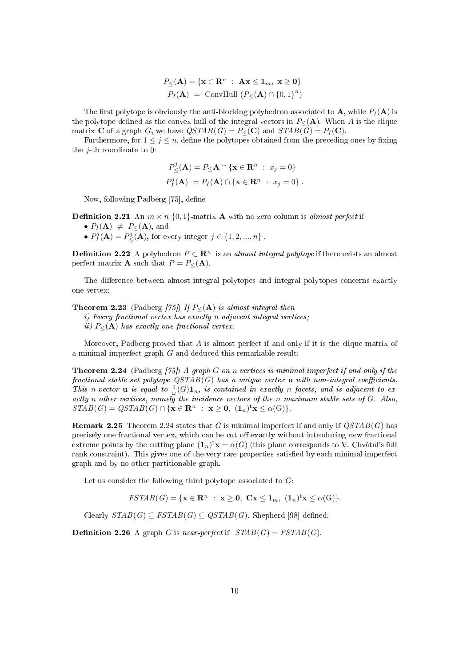$$
P_{\leq}(\mathbf{A}) = \{ \mathbf{x} \in \mathbf{R}^n : \mathbf{A}\mathbf{x} \le \mathbf{1}_m, \mathbf{x} \ge \mathbf{0} \}
$$
  

$$
P_I(\mathbf{A}) = \text{ConvHull } (P_{\leq}(\mathbf{A}) \cap \{0, 1\}^n)
$$

The first polytope is obviously the anti-blocking polyhedron associated to **A**, while  $P_I(\mathbf{A})$  is the polytope defined as the convex hull of the integral vectors in  $P_{\leq}(A)$ . When A is the clique matrix **C** of a graph *G*, we have  $QSTAB(G) = P_{\leq}(C)$  and  $STAB(G) = P_I(C)$ .

Furthermore, for  $1 \leq j \leq n$ , define the polytopes obtained from the preceding ones by fixing the  $j$ -th coordinate to 0:

$$
P_{\leq}^{j}(\mathbf{A}) = P_{\leq}\mathbf{A} \cap \{\mathbf{x} \in \mathbf{R}^{n} : x_{j} = 0\}
$$
  

$$
P_{I}^{j}(\mathbf{A}) = P_{I}(\mathbf{A}) \cap \{\mathbf{x} \in \mathbf{R}^{n} : x_{j} = 0\}.
$$

Now, following Padberg [75], define

**Definition 2.21** An  $m \times n$  {0,1}-matrix **A** with no zero column is almost perfect if

- $P_I(\mathbf{A}) \neq P_{\leq}(\mathbf{A})$ , and
- $P^j_I(\mathbf{A}) = P^j_{\leq}(\mathbf{A})$ , for every integer  $j \in \{1, 2, ..., n\}$ .

**Definition 2.22** A polyhedron  $P \subset \mathbb{R}^n$  is an almost integral polytope if there exists an almost perfect matrix **A** such that  $P = P_{\leq}(\mathbf{A})$ .

The difference between almost integral polytopes and integral polytopes concerns exactly one vertex:

**Theorem 2.23** (Padberg [75]) If  $P_{\leq}(A)$  is almost integral then i) Every fractional vertex has exactly n adjacent integral vertices; ii)  $P_{\leq}(\mathbf{A})$  has exactly one fractional vertex.

Moreover, Padberg proved that  $A$  is almost perfect if and only if it is the clique matrix of a minimal imperfect graph  $G$  and deduced this remarkable result:

**Theorem 2.24** (Padberg [75]) A graph G on n vertices is minimal imperfect if and only if the fractional stable set polytope  $QSTAB(G)$  has a unique vertex  $\bf{u}$  with non-integral coefficients. This n-vector **u** is equal to  $\frac{1}{\omega}(G) \mathbf{1}_n$ , is contained in exactly n facets, and is adjacent to exactly n other vertices, namely the incidence vectors of the n maximum stable sets of G. Also,  $STAB(G) = \mathit{QSTAB}(G) \cap {\bf x} \in \mathbb{R}^n : \mathbf{x} \geq 0, \; (\mathbf{1}_n)^t \mathbf{x} \leq \alpha(G)$ .

**Remark 2.25** Theorem 2.24 states that G is minimal imperfect if and only if  $QSTAB(G)$  has precisely one fractional vertex, which can be cut off exactly without introducing new fractional extreme points by the cutting plane  $(1_n)^t \mathbf{x} = \alpha(G)$  (this plane corresponds to V. Chvátal's full rank constraint). This gives one of the very rare properties satised by each minimal imperfect graph and by no other partitionable graph.

Let us consider the following third polytope associated to  $G$ :

 $FSTAB(G) = {\mathbf{x} \in \mathbb{R}^n : \mathbf{x} \geq \mathbf{0}, \mathbf{Cx} \leq \mathbf{1}_m, (1_n)^{\mathbf{t}} \mathbf{x} \leq \alpha(G)}.$ 

Clearly  $STAB(G) \subseteq FSTAB(G) \subseteq QSTAB(G)$ . Shepherd [98] defined:

**Definition 2.26** A graph G is near-perfect if  $STAB(G) = FSTAB(G)$ .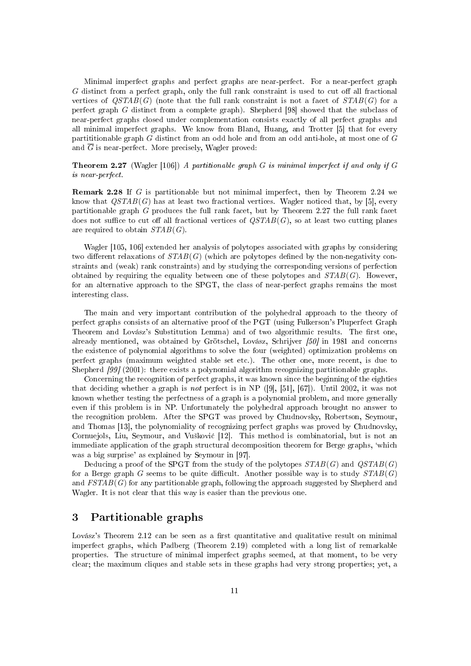Minimal imperfect graphs and perfect graphs are near-perfect. For a near-perfect graph  $G$  distinct from a perfect graph, only the full rank constraint is used to cut off all fractional vertices of  $QSTAB(G)$  (note that the full rank constraint is not a facet of  $STAB(G)$  for a perfect graph G distinct from a complete graph). Shepherd [98] showed that the subclass of near-perfect graphs closed under complementation consists exactly of all perfect graphs and all minimal imperfect graphs. We know from Bland, Huang, and Trotter [5] that for every partititionable graph  $G$  distinct from an odd hole and from an odd anti-hole, at most one of  $G$ and  $\overline{G}$  is near-perfect. More precisely, Wagler proved:

**Theorem 2.27** (Wagler [106]) A partitionable graph G is minimal imperfect if and only if G is near-perfect.

**Remark 2.28** If G is partitionable but not minimal imperfect, then by Theorem 2.24 we know that  $QSTAB(G)$  has at least two fractional vertices. Wagler noticed that, by [5], every partitionable graph  $G$  produces the full rank facet, but by Theorem 2.27 the full rank facet does not suffice to cut off all fractional vertices of  $QSTAB(G)$ , so at least two cutting planes are required to obtain  $STAB(G)$ .

Wagler [105, 106] extended her analysis of polytopes associated with graphs by considering two different relaxations of  $STAB(G)$  (which are polytopes defined by the non-negativity constraints and (weak) rank constraints) and by studying the corresponding versions of perfection obtained by requiring the equality between one of these polytopes and  $STAB(G)$ . However, for an alternative approach to the SPGT, the class of near-perfect graphs remains the most interesting class.

The main and very important contribution of the polyhedral approach to the theory of perfect graphs consists of an alternative proof of the PGT (using Fulkerson's Pluperfect Graph Theorem and Lovász's Substitution Lemma) and of two algorithmic results. The first one, already mentioned, was obtained by Grötschel, Lovász, Schrijver [50] in 1981 and concerns the existence of polynomial algorithms to solve the four (weighted) optimization problems on perfect graphs (maximum weighted stable set etc.). The other one, more recent, is due to Shepherd [99] (2001): there exists a polynomial algorithm recognizing partitionable graphs.

Concerning the recognition of perfect graphs, it was known since the beginning of the eighties that deciding whether a graph is *not* perfect is in NP  $([9], [51], [67])$ . Until 2002, it was not known whether testing the perfectness of a graph is a polynomial problem, and more generally even if this problem is in NP. Unfortunately the polyhedral approach brought no answer to the recognition problem. After the SPGT was proved by Chudnovsky, Robertson, Seymour, and Thomas [13], the polynomiality of recognizing perfect graphs was proved by Chudnovsky, Cornuejols, Liu, Seymour, and Vušković [12]. This method is combinatorial, but is not an immediate application of the graph structural decomposition theorem for Berge graphs, 'which was a big surprise' as explained by Seymour in [97].

Deducing a proof of the SPGT from the study of the polytopes  $STAB(G)$  and  $QSTAB(G)$ for a Berge graph G seems to be quite difficult. Another possible way is to study  $STAB(G)$ and  $FSTAB(G)$  for any partitionable graph, following the approach suggested by Shepherd and Wagler. It is not clear that this way is easier than the previous one.

# 3 Partitionable graphs

Lovász's Theorem  $2.12$  can be seen as a first quantitative and qualitative result on minimal imperfect graphs, which Padberg (Theorem 2.19) completed with a long list of remarkable properties. The structure of minimal imperfect graphs seemed, at that moment, to be very clear; the maximum cliques and stable sets in these graphs had very strong properties; yet, a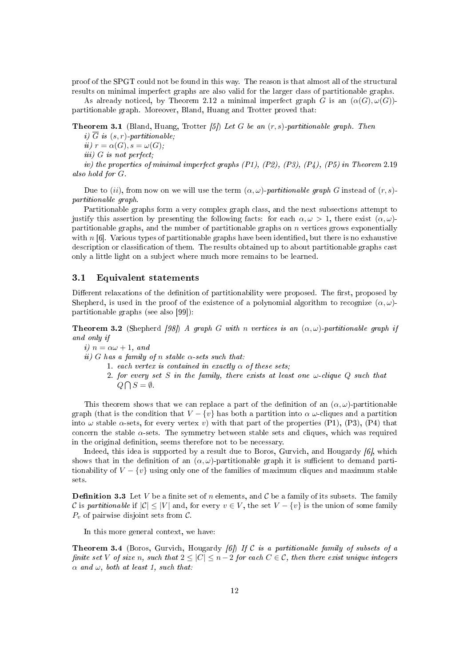proof of the SPGT could not be found in this way. The reason is that almost all of the structural results on minimal imperfect graphs are also valid for the larger class of partitionable graphs.

As already noticed, by Theorem 2.12 a minimal imperfect graph G is an  $(\alpha(G), \omega(G))$ partitionable graph. Moreover, Bland, Huang and Trotter proved that:

**Theorem 3.1** (Bland, Huang, Trotter [5]) Let G be an  $(r, s)$ -partitionable graph. Then

i)  $\overline{G}$  is  $(s, r)$ -partitionable;

ii)  $r = \alpha(G), s = \omega(G);$ 

iii) G is not perfect;

iv) the properties of minimal imperfect graphs  $(PI)$ ,  $(P2)$ ,  $(P3)$ ,  $(P4)$ ,  $(P5)$  in Theorem 2.19 also hold for G.

Due to (ii), from now on we will use the term  $(\alpha, \omega)$ -partitionable graph G instead of  $(r, s)$ partitionable graph.

Partitionable graphs form a very complex graph class, and the next subsections attempt to justify this assertion by presenting the following facts: for each  $\alpha, \omega > 1$ , there exist  $(\alpha, \omega)$ partitionable graphs, and the number of partitionable graphs on  $n$  vertices grows exponentially with  $n$  [6]. Various types of partitionable graphs have been identified, but there is no exhaustive description or classification of them. The results obtained up to about partitionable graphs cast only a little light on a subject where much more remains to be learned.

### 3.1 Equivalent statements

Different relaxations of the definition of partitionability were proposed. The first, proposed by Shepherd, is used in the proof of the existence of a polynomial algorithm to recognize  $(\alpha, \omega)$ partitionable graphs (see also [99]):

**Theorem 3.2** (Shepherd [98]) A graph G with n vertices is an  $(\alpha, \omega)$ -partitionable graph if and only if

i)  $n = \alpha \omega + 1$ , and

ii) G has a family of n stable  $\alpha$ -sets such that:

- 1. each vertex is contained in exactly  $\alpha$  of these sets;
- 2. for every set S in the family, there exists at least one  $\omega$ -clique Q such that  $Q \bigcap S = \emptyset$ .

This theorem shows that we can replace a part of the definition of an  $(\alpha, \omega)$ -partitionable graph (that is the condition that  $V - \{v\}$  has both a partition into  $\alpha \omega$ -cliques and a partition into  $\omega$  stable  $\alpha$ -sets, for every vertex v) with that part of the properties (P1), (P3), (P4) that concern the stable  $\alpha$ -sets. The symmetry between stable sets and cliques, which was required in the original definition, seems therefore not to be necessary.

Indeed, this idea is supported by a result due to Boros, Gurvich, and Hougardy  $\lceil 6 \rceil$ , which shows that in the definition of an  $(\alpha, \omega)$ -partitionable graph it is sufficient to demand partitionability of  $V - \{v\}$  using only one of the families of maximum cliques and maximum stable sets.

**Definition 3.3** Let V be a finite set of n elements, and C be a family of its subsets. The family C is partitionable if  $|\mathcal{C}| \leq |V|$  and, for every  $v \in V$ , the set  $V - \{v\}$  is the union of some family  $P_v$  of pairwise disjoint sets from C.

In this more general context, we have:

**Theorem 3.4** (Boros, Gurvich, Hougardy  $[6]$ ) If C is a partitionable family of subsets of a finite set V of size n, such that  $2 \leq |C| \leq n-2$  for each  $C \in \mathcal{C}$ , then there exist unique integers  $\alpha$  and  $\omega$ , both at least 1, such that: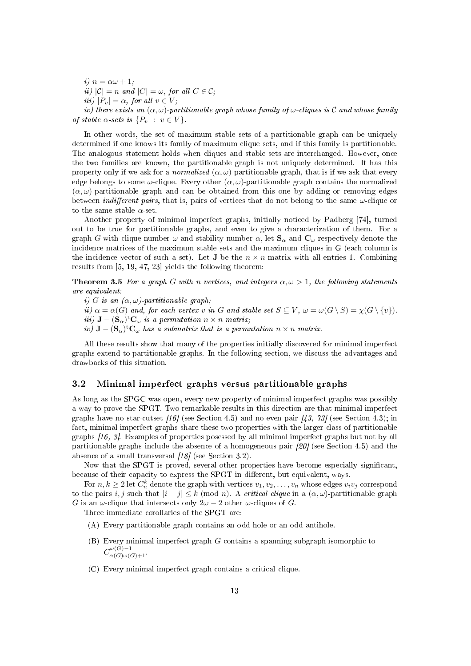i)  $n = \alpha \omega + 1$ ; ii)  $|\mathcal{C}| = n$  and  $|C| = \omega$ , for all  $C \in \mathcal{C}$ ; iii)  $|P_v| = \alpha$ , for all  $v \in V$ ;

iv) there exists an  $(\alpha, \omega)$ -partitionable graph whose family of  $\omega$ -cliques is C and whose family of stable  $\alpha$ -sets is  $\{P_v : v \in V\}$ .

In other words, the set of maximum stable sets of a partitionable graph can be uniquely determined if one knows its family of maximum clique sets, and if this family is partitionable. The analogous statement holds when cliques and stable sets are interchanged. However, once the two families are known, the partitionable graph is not uniquely determined. It has this property only if we ask for a *normalized*  $(\alpha, \omega)$ -partitionable graph, that is if we ask that every edge belongs to some  $\omega$ -clique. Every other  $(\alpha, \omega)$ -partitionable graph contains the normalized  $(\alpha, \omega)$ -partitionable graph and can be obtained from this one by adding or removing edges between *indifferent pairs*, that is, pairs of vertices that do not belong to the same  $\omega$ -clique or to the same stable  $\alpha$ -set.

Another property of minimal imperfect graphs, initially noticed by Padberg [74], turned out to be true for partitionable graphs, and even to give a characterization of them. For a graph G with clique number  $\omega$  and stability number  $\alpha$ , let  $S_{\alpha}$  and  $C_{\omega}$  respectively denote the incidence matrices of the maximum stable sets and the maximum cliques in G (each column is the incidence vector of such a set). Let **J** be the  $n \times n$  matrix with all entries 1. Combining results from [5, 19, 47, 23] yields the following theorem:

**Theorem 3.5** For a graph G with n vertices, and integers  $\alpha, \omega > 1$ , the following statements are equivalent:

i) G is an  $(\alpha, \omega)$ -partitionable graph;

ii)  $\alpha = \alpha(G)$  and, for each vertex v in G and stable set  $S \subseteq V$ ,  $\omega = \omega(G \setminus S) = \chi(G \setminus \{v\})$ .

iii)  $\mathbf{J} - (\mathbf{S}_{\alpha})^{\mathrm{t}} \mathbf{C}_{\omega}$  is a permutation  $n \times n$  matrix;

iv)  $\mathbf{J} - (\mathbf{S}_{\alpha})^{\mathrm{t}} \mathbf{C}_{\omega}$  has a submatrix that is a permutation  $n \times n$  matrix.

All these results show that many of the properties initially discovered for minimal imperfect graphs extend to partitionable graphs. In the following section, we discuss the advantages and drawbacks of this situation.

## 3.2 Minimal imperfect graphs versus partitionable graphs

As long as the SPGC was open, every new property of minimal imperfect graphs was possibly a way to prove the SPGT. Two remarkable results in this direction are that minimal imperfect graphs have no star-cutset  $\frac{16}{16}$  (see Section 4.5) and no even pair  $\frac{13}{3}$ , 73 (see Section 4.3); in fact, minimal imperfect graphs share these two properties with the larger class of partitionable graphs [16, 3]. Examples of properties posessed by all minimal imperfect graphs but not by all partitionable graphs include the absence of a homogeneous pair  $\ell$  (see Section 4.5) and the absence of a small transversal  $[18]$  (see Section 3.2).

Now that the SPGT is proved, several other properties have become especially signicant, because of their capacity to express the SPGT in different, but equivalent, ways.

For  $n, k \geq 2$  let  $C_n^k$  denote the graph with vertices  $v_1, v_2, \ldots, v_n$  whose edges  $v_iv_j$  correspond to the pairs i, j such that  $|i - j| \leq k \pmod{n}$ . A critical clique in a  $(\alpha, \omega)$ -partitionable graph G is an  $\omega$ -clique that intersects only  $2\omega - 2$  other  $\omega$ -cliques of G.

Three immediate corollaries of the SPGT are:

- (A) Every partitionable graph contains an odd hole or an odd antihole.
- (B) Every minimal imperfect graph G contains a spanning subgraph isomorphic to  $C_{\alpha(G)\omega(G)+1}^{\omega(G)-1}.$
- (C) Every minimal imperfect graph contains a critical clique.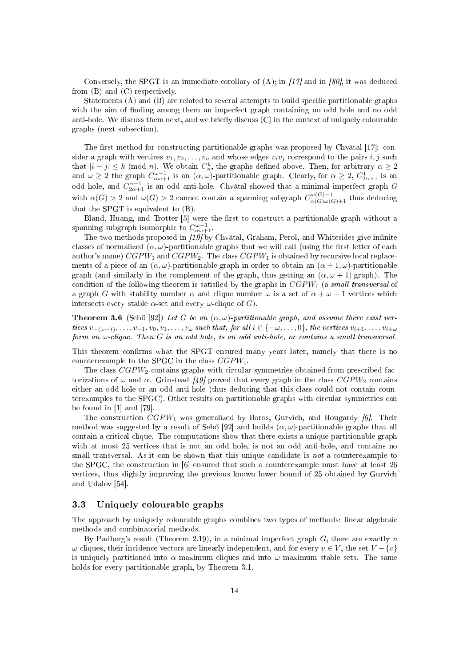Conversely, the SPGT is an immediate corollary of (A); in  $[17]$  and in [80], it was deduced from (B) and (C) respectively.

Statements  $(A)$  and  $(B)$  are related to several attempts to build specific partitionable graphs with the aim of finding among them an imperfect graph containing no odd hole and no odd anti-hole. We discuss them next, and we briefly discuss  $(C)$  in the context of uniquely colourable graphs (next subsection).

The first method for constructing partitionable graphs was proposed by Chvátal  $[17]$ : consider a graph with vertices  $v_1, v_2, \ldots, v_n$  and whose edges  $v_i v_j$  correspond to the pairs i, j such that  $|i-j| \leq k \pmod{n}$ . We obtain  $C_n^k$ , the graphs defined above. Then, for arbitrary  $\alpha \geq 2$ and  $\omega \ge 2$  the graph  $C_{\alpha\omega+1}^{\omega-1}$  is an  $(\alpha,\omega)$ -partitionable graph. Clearly, for  $\alpha \ge 2$ ,  $C_{2\alpha+1}^1$  is an odd hole, and  $C_{2\alpha+1}^{\alpha-1}$  is an odd anti-hole. Chvátal showed that a minimal imperfect graph  $G$ with  $\alpha(G) > 2$  and  $\omega(G) > 2$  cannot contain a spanning subgraph  $C^{\omega(G)-1}_{\alpha(G)\omega(G)+1}$  thus deducing that the SPGT is equivalent to (B).

Bland, Huang, and Trotter [5] were the first to construct a partitionable graph without a spanning subgraph isomorphic to  $C^{\omega-1}_{\alpha\omega+1}$ .

The two methods proposed in  $[19]$  by Chvátal, Graham, Perol, and Whitesides give infinite classes of normalized  $(\alpha, \omega)$ -partitionable graphs that we will call (using the first letter of each author's name)  $CGPW_1$  and  $CGPW_2$ . The class  $CGPW_1$  is obtained by recursive local replacements of a piece of an  $(\alpha, \omega)$ -partitionable graph in order to obtain an  $(\alpha + 1, \omega)$ -partitionable graph (and similarly in the complement of the graph, thus getting an  $(\alpha, \omega + 1)$ -graph). The condition of the following theorem is satisfied by the graphs in  $CGPW_1$  (a small transversal of a graph G with stability number  $\alpha$  and clique number  $\omega$  is a set of  $\alpha + \omega - 1$  vertices which intersects every stable  $\alpha$ -set and every  $\omega$ -clique of G).

**Theorem 3.6** (Sebö [92]) Let G be an  $(\alpha, \omega)$ -partitionable graph, and assume there exist vertices  $v_{-(\omega-1)}, \ldots, v_{-1}, v_0, v_1, \ldots, v_\omega$  such that, for all  $i \in \{-\omega, \ldots, 0\}$ , the vertices  $v_{i+1}, \ldots, v_{i+\omega}$ form an  $\omega$ -clique. Then G is an odd hole, is an odd anti-hole, or contains a small transversal.

This theorem confirms what the SPGT ensured many years later, namely that there is no counterexample to the SPGC in the class  $CGPW_1$ .

The class  $CGPW_2$  contains graphs with circular symmetries obtained from prescribed factorizations of  $\omega$  and  $\alpha$ . Grinstead [49] proved that every graph in the class  $CGPW_2$  contains either an odd hole or an odd anti-hole (thus deducing that this class could not contain counterexamples to the SPGC). Other results on partitionable graphs with circular symmetries can be found in [1] and [79].

The construction  $CGPW_1$  was generalized by Boros, Gurvich, and Hougardy [6]. Their method was suggested by a result of Sebo [92] and builds  $(\alpha, \omega)$ -partitionable graphs that all contain a critical clique. The computations show that there exists a unique partitionable graph with at most 25 vertices that is not an odd hole, is not an odd anti-hole, and contains no small transversal. As it can be shown that this unique candidate is not a counterexample to the SPGC, the construction in [6] ensured that such a counterexample must have at least 26 vertices, thus slightly improving the previous known lower bound of 25 obtained by Gurvich and Udalov [54].

### 3.3 Uniquely colourable graphs

The approach by uniquely colourable graphs combines two types of methods: linear algebraic methods and combinatorial methods.

By Padberg's result (Theorem 2.19), in a minimal imperfect graph  $G$ , there are exactly  $n$  $\omega$ -cliques, their incidence vectors are linearly independent, and for every  $v \in V$ , the set  $V - \{v\}$ is uniquely partitioned into  $\alpha$  maximum cliques and into  $\omega$  maximum stable sets. The same holds for every partitionable graph, by Theorem 3.1.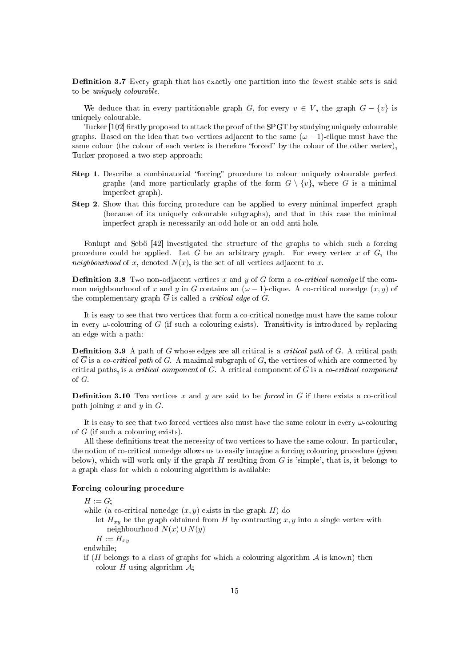**Definition 3.7** Every graph that has exactly one partition into the fewest stable sets is said to be uniquely colourable.

We deduce that in every partitionable graph G, for every  $v \in V$ , the graph  $G - \{v\}$  is uniquely colourable.

Tucker  $[102]$  firstly proposed to attack the proof of the SPGT by studying uniquely colourable graphs. Based on the idea that two vertices adjacent to the same  $(\omega - 1)$ -clique must have the same colour (the colour of each vertex is therefore "forced" by the colour of the other vertex), Tucker proposed a two-step approach:

- Step 1. Describe a combinatorial "forcing" procedure to colour uniquely colourable perfect graphs (and more particularly graphs of the form  $G \setminus \{v\}$ , where G is a minimal imperfect graph).
- Step 2. Show that this forcing procedure can be applied to every minimal imperfect graph (because of its uniquely colourable subgraphs), and that in this case the minimal imperfect graph is necessarily an odd hole or an odd anti-hole.

Fonlupt and Sebö [42] investigated the structure of the graphs to which such a forcing procedure could be applied. Let G be an arbitrary graph. For every vertex  $x$  of  $G$ , the neighbourhood of x, denoted  $N(x)$ , is the set of all vertices adjacent to x.

**Definition 3.8** Two non-adjacent vertices x and y of G form a co-critical nonedge if the common neighbourhood of x and y in G contains an  $(\omega - 1)$ -clique. A co-critical nonedge  $(x, y)$  of the complementary graph  $\overline{G}$  is called a *critical edge* of G.

It is easy to see that two vertices that form a co-critical nonedge must have the same colour in every  $\omega$ -colouring of G (if such a colouring exists). Transitivity is introduced by replacing an edge with a path:

**Definition 3.9** A path of G whose edges are all critical is a *critical path* of G. A critical path of  $\overline{G}$  is a co-critical path of G. A maximal subgraph of G, the vertices of which are connected by critical paths, is a *critical component* of G. A critical component of  $\overline{G}$  is a *co-critical component* of G.

**Definition 3.10** Two vertices x and y are said to be *forced* in G if there exists a co-critical path joining  $x$  and  $y$  in  $G$ .

It is easy to see that two forced vertices also must have the same colour in every  $\omega$ -colouring of  $G$  (if such a colouring exists).

All these definitions treat the necessity of two vertices to have the same colour. In particular, the notion of co-critical nonedge allows us to easily imagine a forcing colouring procedure (given below), which will work only if the graph  $H$  resulting from  $G$  is 'simple', that is, it belongs to a graph class for which a colouring algorithm is available:

### Forcing colouring procedure

 $H := G$ : while (a co-critical nonedge  $(x, y)$  exists in the graph H) do

let  $H_{xy}$  be the graph obtained from H by contracting  $x, y$  into a single vertex with neighbourhood  $N(x) \cup N(y)$ 

 $H := H_{x}$ 

endwhile;

if (H belongs to a class of graphs for which a colouring algorithm  $A$  is known) then colour H using algorithm  $\mathcal{A}$ ;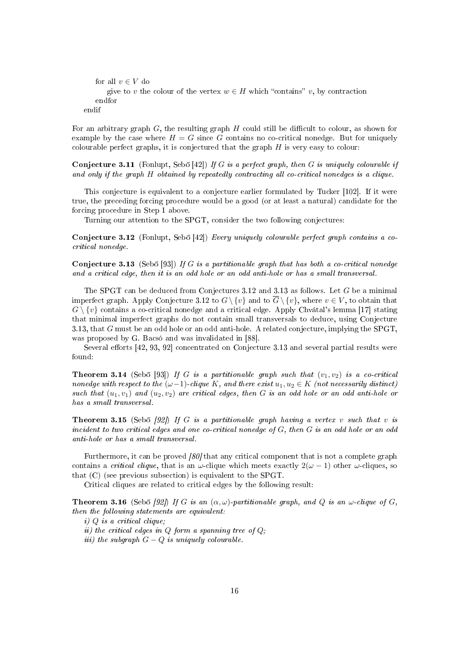```
for all v \in V do
       give to v the colour of the vertex w \in H which "contains" v, by contraction
   endfor
endif
```
For an arbitrary graph G, the resulting graph H could still be difficult to colour, as shown for example by the case where  $H = G$  since G contains no co-critical nonedge. But for uniquely colourable perfect graphs, it is conjectured that the graph  $H$  is very easy to colour:

**Conjecture 3.11** (Fonlupt, Sebő [42]) If G is a perfect graph, then G is uniquely colourable if and only if the graph H obtained by repeatedly contracting all co-critical nonedges is a clique.

This conjecture is equivalent to a conjecture earlier formulated by Tucker [102]. If it were true, the preceding forcing procedure would be a good (or at least a natural) candidate for the forcing procedure in Step 1 above.

Turning our attention to the SPGT, consider the two following conjectures:

**Conjecture 3.12** (Fonlupt, Sebő [42]) Every uniquely colourable perfect graph contains a cocritical nonedge.

**Conjecture 3.13** (Sebő [93]) If G is a partitionable graph that has both a co-critical nonedge and a critical edge, then it is an odd hole or an odd anti-hole or has a small transversal.

The SPGT can be deduced from Conjectures 3.12 and 3.13 as follows. Let G be a minimal imperfect graph. Apply Conjecture 3.12 to  $G \setminus \{v\}$  and to  $\overline{G} \setminus \{v\}$ , where  $v \in V$ , to obtain that  $G \setminus \{v\}$  contains a co-critical nonedge and a critical edge. Apply Chvátal's lemma [17] stating that minimal imperfect graphs do not contain small transversals to deduce, using Conjecture 3.13, that  $G$  must be an odd hole or an odd anti-hole. A related conjecture, implying the  $SPGT$ , was proposed by G. Bacsó and was invalidated in [88].

Several efforts  $[42, 93, 92]$  concentrated on Conjecture 3.13 and several partial results were found:

**Theorem 3.14** (Sebő [93]) If G is a partitionable graph such that  $(v_1, v_2)$  is a co-critical nonedge with respect to the  $(\omega-1)$ -clique K, and there exist  $u_1, u_2 \in K$  (not necessarily distinct) such that  $(u_1, v_1)$  and  $(u_2, v_2)$  are critical edges, then G is an odd hole or an odd anti-hole or has a small transversal.

**Theorem 3.15** (Sebő [92]) If G is a partitionable graph having a vertex v such that v is incident to two critical edges and one co-critical nonedge of G, then G is an odd hole or an odd anti-hole or has a small transversal.

Furthermore, it can be proved  $\beta\theta$  that any critical component that is not a complete graph contains a *critical clique*, that is an  $\omega$ -clique which meets exactly  $2(\omega - 1)$  other  $\omega$ -cliques, so that (C) (see previous subsection) is equivalent to the SPGT.

Critical cliques are related to critical edges by the following result:

**Theorem 3.16** (Sebő [92]) If G is an  $(\alpha, \omega)$ -partitionable graph, and Q is an  $\omega$ -clique of G, then the following statements are equivalent:

i) Q is a critical clique;

ii) the critical edges in  $Q$  form a spanning tree of  $Q$ ;

iii) the subgraph  $G-Q$  is uniquely colourable.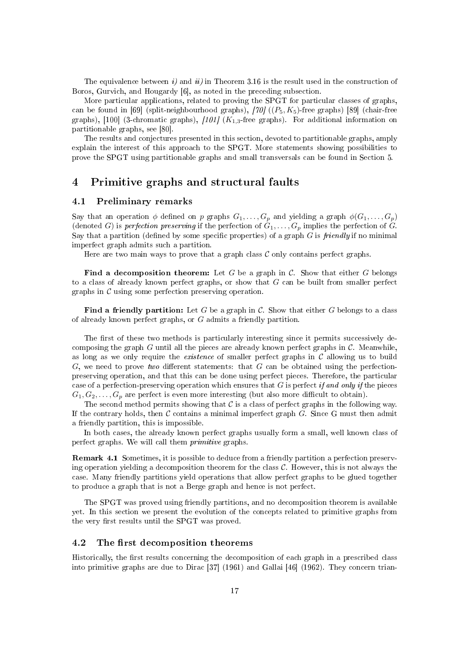The equivalence between i) and ii) in Theorem 3.16 is the result used in the construction of Boros, Gurvich, and Hougardy [6], as noted in the preceding subsection.

More particular applications, related to proving the SPGT for particular classes of graphs, can be found in [69] (split-neighbourhood graphs),  $[70]$  ( $(P_5, K_5)$ -free graphs) [89] (chair-free graphs), [100] (3-chromatic graphs),  $101$  ( $K_{1,3}$ -free graphs). For additional information on partitionable graphs, see [80].

The results and conjectures presented in this section, devoted to partitionable graphs, amply explain the interest of this approach to the SPGT. More statements showing possibilities to prove the SPGT using partitionable graphs and small transversals can be found in Section 5.

# 4 Primitive graphs and structural faults

### 4.1 Preliminary remarks

Say that an operation  $\phi$  defined on p graphs  $G_1, \ldots, G_p$  and yielding a graph  $\phi(G_1, \ldots, G_p)$ (denoted G) is perfection preserving if the perfection of  $G_1, \ldots, G_p$  implies the perfection of G. Say that a partition (defined by some specific properties) of a graph  $G$  is *friendly* if no minimal imperfect graph admits such a partition.

Here are two main ways to prove that a graph class  $C$  only contains perfect graphs.

Find a decomposition theorem: Let G be a graph in C. Show that either G belongs to a class of already known perfect graphs, or show that  $G$  can be built from smaller perfect graphs in  $\mathcal C$  using some perfection preserving operation.

Find a friendly partition: Let G be a graph in C. Show that either G belongs to a class of already known perfect graphs, or G admits a friendly partition.

The first of these two methods is particularly interesting since it permits successively decomposing the graph G until all the pieces are already known perfect graphs in  $\mathcal C$ . Meanwhile, as long as we only require the *existence* of smaller perfect graphs in  $C$  allowing us to build G, we need to prove two different statements: that G can be obtained using the perfectionpreserving operation, and that this can be done using perfect pieces. Therefore, the particular case of a perfection-preserving operation which ensures that G is perfect if and only if the pieces  $G_1, G_2, \ldots, G_p$  are perfect is even more interesting (but also more difficult to obtain).

The second method permits showing that  $\mathcal C$  is a class of perfect graphs in the following way. If the contrary holds, then  $\mathcal C$  contains a minimal imperfect graph  $G$ . Since  $G$  must then admit a friendly partition, this is impossible.

In both cases, the already known perfect graphs usually form a small, well known class of perfect graphs. We will call them primitive graphs.

Remark 4.1 Sometimes, it is possible to deduce from a friendly partition a perfection preserving operation yielding a decomposition theorem for the class  $\mathcal{C}$ . However, this is not always the case. Many friendly partitions yield operations that allow perfect graphs to be glued together to produce a graph that is not a Berge graph and hence is not perfect.

The SPGT was proved using friendly partitions, and no decomposition theorem is available yet. In this section we present the evolution of the concepts related to primitive graphs from the very first results until the SPGT was proved.

### 4.2 The first decomposition theorems

Historically, the first results concerning the decomposition of each graph in a prescribed class into primitive graphs are due to Dirac [37] (1961) and Gallai [46] (1962). They concern trian-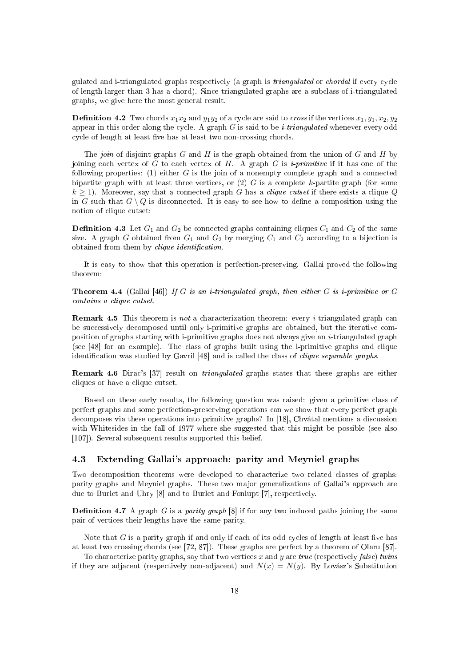gulated and i-triangulated graphs respectively (a graph is triangulated or chordal if every cycle of length larger than 3 has a chord). Since triangulated graphs are a subclass of i-triangulated graphs, we give here the most general result.

**Definition 4.2** Two chords  $x_1x_2$  and  $y_1y_2$  of a cycle are said to *cross* if the vertices  $x_1, y_1, x_2, y_2$ appear in this order along the cycle. A graph  $G$  is said to be *i-triangulated* whenever every odd cycle of length at least five has at least two non-crossing chords.

The join of disjoint graphs  $G$  and  $H$  is the graph obtained from the union of  $G$  and  $H$  by joining each vertex of G to each vertex of H. A graph G is *i-primitive* if it has one of the following properties: (1) either G is the join of a nonempty complete graph and a connected bipartite graph with at least three vertices, or  $(2)$  G is a complete k-partite graph (for some  $k \geq 1$ ). Moreover, say that a connected graph G has a *clique cutset* if there exists a clique Q in G such that  $G \setminus Q$  is disconnected. It is easy to see how to define a composition using the notion of clique cutset:

**Definition 4.3** Let  $G_1$  and  $G_2$  be connected graphs containing cliques  $C_1$  and  $C_2$  of the same size. A graph G obtained from  $G_1$  and  $G_2$  by merging  $C_1$  and  $C_2$  according to a bijection is obtained from them by *clique identification*.

It is easy to show that this operation is perfection-preserving. Gallai proved the following theorem:

**Theorem 4.4** (Gallai [46]) If G is an *i*-triangulated graph, then either G is *i*-primitive or G contains a clique cutset.

**Remark 4.5** This theorem is not a characterization theorem: every *i*-triangulated graph can be successively decomposed until only i-primitive graphs are obtained, but the iterative composition of graphs starting with i-primitive graphs does not always give an  $i$ -triangulated graph (see [48] for an example). The class of graphs built using the i-primitive graphs and clique identification was studied by Gavril [48] and is called the class of *clique separable graphs*.

Remark 4.6 Dirac's [37] result on triangulated graphs states that these graphs are either cliques or have a clique cutset.

Based on these early results, the following question was raised: given a primitive class of perfect graphs and some perfection-preserving operations can we show that every perfect graph decomposes via these operations into primitive graphs? In [18], Chvátal mentions a discussion with Whitesides in the fall of 1977 where she suggested that this might be possible (see also [107]). Several subsequent results supported this belief.

### 4.3 Extending Gallai's approach: parity and Meyniel graphs

Two decomposition theorems were developed to characterize two related classes of graphs: parity graphs and Meyniel graphs. These two major generalizations of Gallai's approach are due to Burlet and Uhry [8] and to Burlet and Fonlupt [7], respectively.

**Definition 4.7** A graph G is a *parity graph* [8] if for any two induced paths joining the same pair of vertices their lengths have the same parity.

Note that  $G$  is a parity graph if and only if each of its odd cycles of length at least five has at least two crossing chords (see [72, 87]). These graphs are perfect by a theorem of Olaru [87].

To characterize parity graphs, say that two vertices x and y are true (respectively false) twins if they are adjacent (respectively non-adjacent) and  $N(x) = N(y)$ . By Lovász's Substitution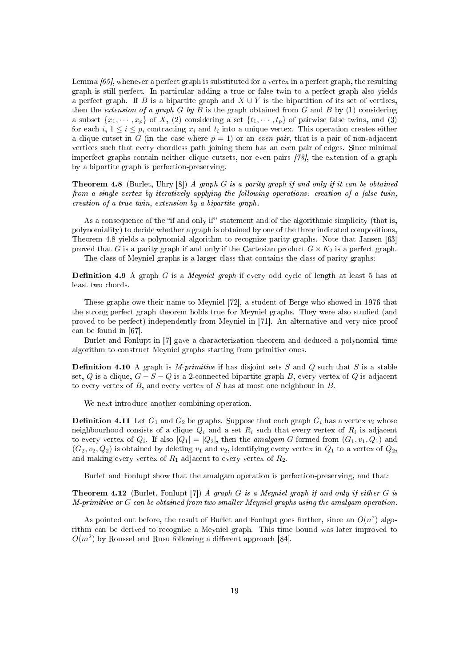Lemma  $\lceil 65 \rceil$ , whenever a perfect graph is substituted for a vertex in a perfect graph, the resulting graph is still perfect. In particular adding a true or false twin to a perfect graph also yields a perfect graph. If B is a bipartite graph and  $X \cup Y$  is the bipartition of its set of vertices, then the extension of a graph G by B is the graph obtained from G and B by (1) considering a subset  $\{x_1, \dots, x_p\}$  of X, (2) considering a set  $\{t_1, \dots, t_p\}$  of pairwise false twins, and (3) for each  $i, 1 \leq i \leq p$ , contracting  $x_i$  and  $t_i$  into a unique vertex. This operation creates either a clique cutset in G (in the case where  $p = 1$ ) or an even pair, that is a pair of non-adjacent vertices such that every chordless path joining them has an even pair of edges. Since minimal imperfect graphs contain neither clique cutsets, nor even pairs  $[73]$ , the extension of a graph by a bipartite graph is perfection-preserving.

**Theorem 4.8** (Burlet, Uhry [8]) A graph G is a parity graph if and only if it can be obtained from a single vertex by iteratively applying the following operations: creation of a false twin, creation of a true twin, extension by a bipartite graph.

As a consequence of the "if and only if" statement and of the algorithmic simplicity (that is, polynomiality) to decide whether a graph is obtained by one of the three indicated compositions, Theorem 4.8 yields a polynomial algorithm to recognize parity graphs. Note that Jansen [63] proved that G is a parity graph if and only if the Cartesian product  $G \times K_2$  is a perfect graph. The class of Meyniel graphs is a larger class that contains the class of parity graphs:

**Definition 4.9** A graph G is a *Meyniel graph* if every odd cycle of length at least 5 has at least two chords.

These graphs owe their name to Meyniel [72], a student of Berge who showed in 1976 that the strong perfect graph theorem holds true for Meyniel graphs. They were also studied (and proved to be perfect) independently from Meyniel in [71]. An alternative and very nice proof can be found in [67].

Burlet and Fonlupt in [7] gave a characterization theorem and deduced a polynomial time algorithm to construct Meyniel graphs starting from primitive ones.

**Definition 4.10** A graph is *M-primitive* if has disjoint sets  $S$  and  $Q$  such that  $S$  is a stable set, Q is a clique,  $G - S - Q$  is a 2-connected bipartite graph B, every vertex of Q is adjacent to every vertex of B, and every vertex of S has at most one neighbour in B.

We next introduce another combining operation.

**Definition 4.11** Let  $G_1$  and  $G_2$  be graphs. Suppose that each graph  $G_i$  has a vertex  $v_i$  whose neighbourhood consists of a clique  $Q_i$  and a set  $R_i$  such that every vertex of  $R_i$  is adjacent to every vertex of  $Q_i$ . If also  $|Q_1|=|Q_2|,$  then the amalgam  $G$  formed from  $(G_1,v_1,Q_1)$  and  $(G_2, v_2, Q_2)$  is obtained by deleting  $v_1$  and  $v_2$ , identifying every vertex in  $Q_1$  to a vertex of  $Q_2$ , and making every vertex of  $R_1$  adjacent to every vertex of  $R_2$ .

Burlet and Fonlupt show that the amalgam operation is perfection-preserving, and that:

**Theorem 4.12** (Burlet, Fonlupt  $[7]$ ) A graph G is a Meyniel graph if and only if either G is M-primitive or G can be obtained from two smaller Meyniel graphs using the amalgam operation.

As pointed out before, the result of Burlet and Fonlupt goes further, since an  $O(n^7)$  algorithm can be derived to recognize a Meyniel graph. This time bound was later improved to  $O(m^2)$  by Roussel and Rusu following a different approach [84].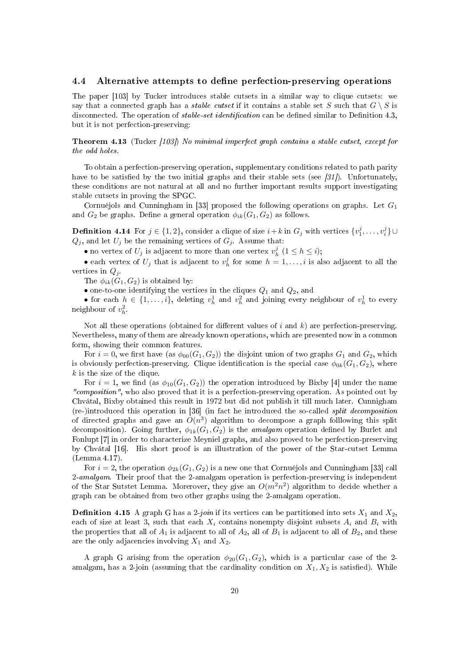### 4.4 Alternative attempts to define perfection-preserving operations

The paper [103] by Tucker introduces stable cutsets in a similar way to clique cutsets: we say that a connected graph has a *stable cutset* if it contains a stable set S such that  $G \setminus S$  is disconnected. The operation of *stable-set identification* can be defined similar to Definition 4.3, but it is not perfection-preserving:

**Theorem 4.13** (Tucker  $[103]$ ) No minimal imperfect graph contains a stable cutset, except for the odd holes.

To obtain a perfection-preserving operation, supplementary conditions related to path parity have to be satisfied by the two initial graphs and their stable sets (see  $[31]$ ). Unfortunately, these conditions are not natural at all and no further important results support investigating stable cutsets in proving the SPGC.

Cornuéjols and Cunningham in [33] proposed the following operations on graphs. Let  $G_1$ and  $G_2$  be graphs. Define a general operation  $\phi_{ik}(G_1, G_2)$  as follows.

 $\textbf{Definition 4.14} \ \ \text{For} \ j \in \{1,2\}, \ \text{consider a clique of size} \ i+k \ \text{in} \ G_j \ \ \text{with vertices} \ \{v_1^j,\ldots,v_i^j\} \cup$  $Q_j$ , and let  $U_j$  be the remaining vertices of  $G_j$ . Assume that:

• no vertex of  $U_j$  is adjacent to more than one vertex  $v_h^j$   $(1 \leq h \leq i)$ ;

• each vertex of  $U_j$  that is adjacent to  $v_h^j$  for some  $h = 1, \ldots, i$  is also adjacent to all the vertices in  $Q_i$ 

The  $\phi_{ik}(G_1, G_2)$  is obtained by:

• one-to-one identifying the vertices in the cliques  $Q_1$  and  $Q_2$ , and

• for each  $h \in \{1, \ldots, i\}$ , deleting  $v_h^1$  and  $v_h^2$  and joining every neighbour of  $v_h^1$  to every neighbour of  $v_h^2$ .

Not all these operations (obtained for different values of i and  $k$ ) are perfection-preserving. Nevertheless, many of them are already known operations, which are presented now in a common form, showing their common features.

For  $i = 0$ , we first have (as  $\phi_{00}(G_1, G_2)$ ) the disjoint union of two graphs  $G_1$  and  $G_2$ , which is obviously perfection-preserving. Clique identification is the special case  $\phi_{0k}(G_1, G_2)$ , where  $k$  is the size of the clique.

For  $i = 1$ , we find (as  $\phi_{10}(G_1, G_2)$ ) the operation introduced by Bixby [4] under the name "composition", who also proved that it is a perfection-preserving operation. As pointed out by Chvátal, Bixby obtained this result in 1972 but did not publish it till much later. Cunnigham (re-)introduced this operation in [36] (in fact he introduced the so-called split decomposition of directed graphs and gave an  $O(n^3)$  algorithm to decompose a graph folllowing this split decomposition). Going further,  $\phi_{1k}(G_1, G_2)$  is the *amalgam* operation defined by Burlet and Fonlupt [7] in order to characterize Meyniel graphs, and also proved to be perfection-preserving by Chvátal [16]. His short proof is an illustration of the power of the Star-cutset Lemma (Lemma 4.17).

For  $i = 2$ , the operation  $\phi_{2k}(G_1, G_2)$  is a new one that Cornuéjols and Cunningham [33] call 2-amalgam. Their proof that the 2-amalgam operation is perfection-preserving is independent of the Star Sutstet Lemma. Morerover, they give an  $O(m^2n^2)$  algorithm to decide whether a graph can be obtained from two other graphs using the 2-amalgam operation.

**Definition 4.15** A graph G has a 2-join if its vertices can be partitioned into sets  $X_1$  and  $X_2$ , each of size at least 3, such that each  $X_i$  contains nonempty disjoint subsets  $A_i$  and  $B_i$  with the properties that all of  $A_1$  is adjacent to all of  $A_2$ , all of  $B_1$  is adjacent to all of  $B_2$ , and these are the only adjacencies involving  $X_1$  and  $X_2$ .

A graph G arising from the operation  $\phi_{20}(G_1, G_2)$ , which is a particular case of the 2amalgam, has a 2-join (assuming that the cardinality condition on  $X_1, X_2$  is satisfied). While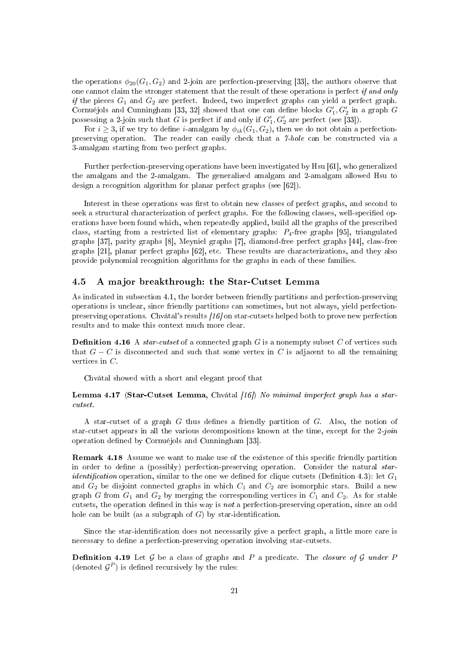the operations  $\phi_{20}(G_1, G_2)$  and 2-join are perfection-preserving [33], the authors observe that one cannot claim the stronger statement that the result of these operations is perfect if and only if the pieces  $G_1$  and  $G_2$  are perfect. Indeed, two imperfect graphs can yield a perfect graph. Cornuéjols and Cunningham [33, 32] showed that one can define blocks  $G'_1, G'_2$  in a graph  $G$ possessing a 2-join such that G is perfect if and only if  $G'_{1}, G'_{2}$  are perfect (see [33]).

For  $i \geq 3$ , if we try to define *i*-amalgam by  $\phi_{ik}(G_1, G_2)$ , then we do not obtain a perfectionpreserving operation. The reader can easily check that a 7-hole can be constructed via a 3-amalgam starting from two perfect graphs.

Further perfection-preserving operations have been investigated by Hsu [61], who generalized the amalgam and the 2-amalgam. The generalized amalgam and 2-amalgam allowed Hsu to design a recognition algorithm for planar perfect graphs (see [62]).

Interest in these operations was first to obtain new classes of perfect graphs, and second to seek a structural characterization of perfect graphs. For the following classes, well-specified operations have been found which, when repeatedly applied, build all the graphs of the prescribed class, starting from a restricted list of elementary graphs:  $P_4$ -free graphs [95], triangulated graphs [37], parity graphs [8], Meyniel graphs [7], diamond-free perfect graphs [44], claw-free graphs [21], planar perfect graphs [62], etc. These results are characterizations, and they also provide polynomial recognition algorithms for the graphs in each of these families.

### 4.5 A major breakthrough: the Star-Cutset Lemma

As indicated in subsection 4.1, the border between friendly partitions and perfection-preserving operations is unclear, since friendly partitions can sometimes, but not always, yield perfectionpreserving operations. Chvátal's results  $[16]$  on star-cutsets helped both to prove new perfection results and to make this context much more clear.

**Definition 4.16** A star-cutset of a connected graph G is a nonempty subset C of vertices such that  $G - C$  is disconnected and such that some vertex in C is adjacent to all the remaining vertices in C.

Chvátal showed with a short and elegant proof that

Lemma 4.17 (Star-Cutset Lemma, Chvátal [16]) No minimal imperfect graph has a starcutset.

A star-cutset of a graph G thus defines a friendly partition of G. Also, the notion of star-cutset appears in all the various decompositions known at the time, except for the 2-join operation defined by Cornuéjols and Cunningham [33].

**Remark 4.18** Assume we want to make use of the existence of this specific friendly partition in order to define a (possibly) perfection-preserving operation. Consider the natural *staridentification* operation, similar to the one we defined for clique cutsets (Definition 4.3): let  $G_1$ and  $G_2$  be disjoint connected graphs in which  $C_1$  and  $C_2$  are isomorphic stars. Build a new graph G from  $G_1$  and  $G_2$  by merging the corresponding vertices in  $C_1$  and  $C_2$ . As for stable cutsets, the operation defined in this way is not a perfection-preserving operation, since an odd hole can be built (as a subgraph of  $G$ ) by star-identification.

Since the star-identification does not necessarily give a perfect graph, a little more care is necessary to define a perfection-preserving operation involving star-cutsets.

**Definition 4.19** Let  $\mathcal G$  be a class of graphs and  $P$  a predicate. The closure of  $\mathcal G$  under  $P$ (denoted  $\mathcal{G}^P$ ) is defined recursively by the rules: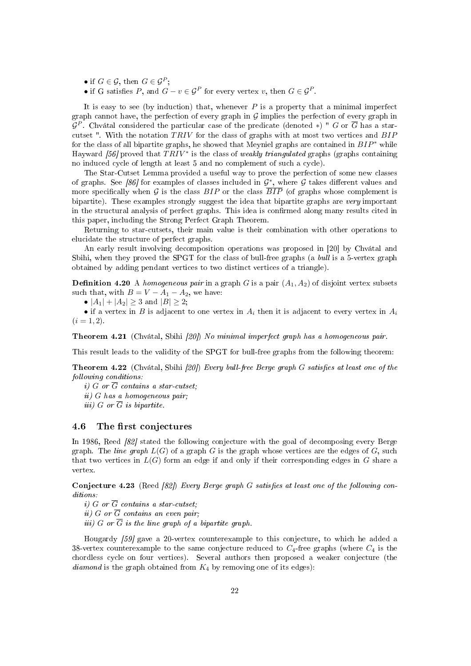• if  $G \in \mathcal{G}$ , then  $G \in \mathcal{G}^P$ ;

• if G satisfies P, and  $G - v \in \mathcal{G}^P$  for every vertex v, then  $G \in \mathcal{G}^P$ .

It is easy to see (by induction) that, whenever  $P$  is a property that a minimal imperfect graph cannot have, the perfection of every graph in  $G$  implies the perfection of every graph in  $\mathcal{G}^P$ . Chvátal considered the particular case of the predicate (denoted \*) " G or  $\overline{G}$  has a starcutset ". With the notation TRIV for the class of graphs with at most two vertices and  $BIP$ for the class of all bipartite graphs, he showed that Meyniel graphs are contained in  $BIP^*$  while Hayward [56] proved that  $TRIV^*$  is the class of weakly triangulated graphs (graphs containing no induced cycle of length at least 5 and no complement of such a cycle).

The Star-Cutset Lemma provided a useful way to prove the perfection of some new classes of graphs. See [86] for examples of classes included in  $\mathcal{G}^*$ , where  $\mathcal G$  takes different values and more specifically when G is the class  $BIP$  or the class  $\overline{BIP}$  (of graphs whose complement is bipartite). These examples strongly suggest the idea that bipartite graphs are very important in the structural analysis of perfect graphs. This idea is confirmed along many results cited in this paper, including the Strong Perfect Graph Theorem.

Returning to star-cutsets, their main value is their combination with other operations to elucidate the structure of perfect graphs.

An early result involving decomposition operations was proposed in [20] by Chvátal and Sbihi, when they proved the SPGT for the class of bull-free graphs (a bull is a 5-vertex graph obtained by adding pendant vertices to two distinct vertices of a triangle).

**Definition 4.20** A homogeneous pair in a graph G is a pair  $(A_1, A_2)$  of disjoint vertex subsets such that, with  $B = V - A_1 - A_2$ , we have:

•  $|A_1| + |A_2| \geq 3$  and  $|B| \geq 2$ ;

• if a vertex in B is adjacent to one vertex in  $A_i$  then it is adjacent to every vertex in  $A_i$  $(i = 1, 2).$ 

**Theorem 4.21** (Chvátal, Sbihi [20]) No minimal imperfect graph has a homogeneous pair.

This result leads to the validity of the SPGT for bull-free graphs from the following theorem:

**Theorem 4.22** (Chvátal, Sbihi [20]) Every bull-free Berge graph G satisfies at least one of the following conditions:

i) G or  $\overline{G}$  contains a star-cutset:

ii) G has a homogeneous pair;

iii) G or  $\overline{G}$  is bipartite.

### 4.6 The first conjectures

In 1986, Reed [82] stated the following conjecture with the goal of decomposing every Berge graph. The line graph  $L(G)$  of a graph G is the graph whose vertices are the edges of G, such that two vertices in  $L(G)$  form an edge if and only if their corresponding edges in G share a vertex.

**Conjecture 4.23** (Reed [82]) Every Berge graph G satisfies at least one of the following conditions:

i) G or  $\overline{G}$  contains a star-cutset; ii) G or  $\overline{G}$  contains an even pair; iii) G or  $\overline{G}$  is the line graph of a bipartite graph.

Hougardy [59] gave a 20-vertex counterexample to this conjecture, to which he added a 38-vertex counterexample to the same conjecture reduced to  $C_4$ -free graphs (where  $C_4$  is the chordless cycle on four vertices). Several authors then proposed a weaker conjecture (the *diamond* is the graph obtained from  $K_4$  by removing one of its edges):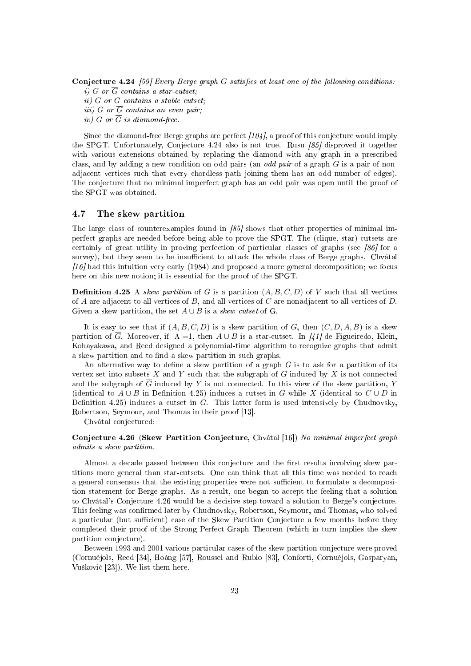**Conjecture 4.24** [59] Every Berge graph G satisfies at least one of the following conditions:

i) G or  $\overline{G}$  contains a star-cutset:

ii) G or  $\overline{G}$  contains a stable cutset:

 $iii) G$  or  $\overline{G}$  contains an even pair;

iv) G or  $\overline{G}$  is diamond-free.

Since the diamond-free Berge graphs are perfect  $(104)$ , a proof of this conjecture would imply the SPGT. Unfortunately, Conjecture 4.24 also is not true. Rusu [85] disproved it together with various extensions obtained by replacing the diamond with any graph in a prescribed class, and by adding a new condition on odd pairs (an *odd pair* of a graph  $G$  is a pair of nonadjacent vertices such that every chordless path joining them has an odd number of edges). The conjecture that no minimal imperfect graph has an odd pair was open until the proof of the SPGT was obtained.

### 4.7 The skew partition

The large class of counterexamples found in  $\frac{85}{}$  shows that other properties of minimal imperfect graphs are needed before being able to prove the SPGT. The (clique, star) cutsets are certainly of great utility in proving perfection of particular classes of graphs (see [86] for a survey), but they seem to be insufficient to attack the whole class of Berge graphs. Chvátal [16] had this intuition very early (1984) and proposed a more general decomposition; we focus here on this new notion; it is essential for the proof of the SPGT.

**Definition 4.25** A skew partition of G is a partition  $(A, B, C, D)$  of V such that all vertices of A are adjacent to all vertices of B, and all vertices of C are nonadjacent to all vertices of D. Given a skew partition, the set  $A \cup B$  is a skew cutset of G.

It is easy to see that if  $(A, B, C, D)$  is a skew partition of G, then  $(C, D, A, B)$  is a skew partition of  $\overline{G}$ . Moreover, if  $|A|=1$ , then  $A\cup B$  is a star-cutset. In [41] de Figueiredo, Klein, Kohayakawa, and Reed designed a polynomial-time algorithm to recognize graphs that admit a skew partition and to find a skew partition in such graphs.

An alternative way to define a skew partition of a graph  $G$  is to ask for a partition of its vertex set into subsets X and Y such that the subgraph of G induced by X is not connected and the subgraph of  $\overline{G}$  induced by Y is not connected. In this view of the skew partition, Y (identical to  $A \cup B$  in Definition 4.25) induces a cutset in G while X (identical to  $C \cup D$  in Definition 4.25) induces a cutset in  $\overline{G}$ . This latter form is used intensively by Chudnovsky, Robertson, Seymour, and Thomas in their proof [13].

Chvátal conjectured:

Conjecture 4.26 (Skew Partition Conjecture, Chvátal [16]) No minimal imperfect graph admits a skew partition.

Almost a decade passed between this conjecture and the first results involving skew partitions more general than star-cutsets. One can think that all this time was needed to reach a general consensus that the existing properties were not sufficient to formulate a decomposition statement for Berge graphs. As a result, one began to accept the feeling that a solution to Chvátal's Conjecture 4.26 would be a decisive step toward a solution to Berge's conjecture. This feeling was confirmed later by Chudnovsky, Robertson, Seymour, and Thomas, who solved a particular (but sufficient) case of the Skew Partition Conjecture a few months before they completed their proof of the Strong Perfect Graph Theorem (which in turn implies the skew partition conjecture).

Between 1993 and 2001 various particular cases of the skew partition conjecture were proved (Cornuéjols, Reed [34], Hoàng [57], Roussel and Rubio [83], Conforti, Cornuéjols, Gasparyan, Vušković [23]). We list them here.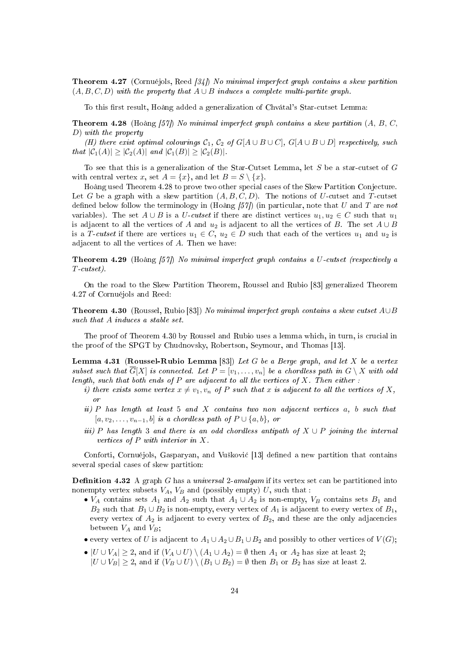**Theorem 4.27** (Cornuéjols, Reed  $\{34\}$ ) No minimal imperfect graph contains a skew partition  $(A, B, C, D)$  with the property that  $A \cup B$  induces a complete multi-partite graph.

To this first result, Hoàng added a generalization of Chvátal's Star-cutset Lemma:

**Theorem 4.28** (Hoàng [57]) No minimal imperfect graph contains a skew partition  $(A, B, C, \mathbb{R})$ D) with the property

(H) there exist optimal colourings  $C_1$ ,  $C_2$  of  $G[A \cup B \cup C]$ ,  $G[A \cup B \cup D]$  respectively, such that  $|\mathcal{C}_1(A)| \geq |\mathcal{C}_2(A)|$  and  $|\mathcal{C}_1(B)| \geq |\mathcal{C}_2(B)|$ .

To see that this is a generalization of the Star-Cutset Lemma, let S be a star-cutset of G with central vertex x, set  $A = \{x\}$ , and let  $B = S \setminus \{x\}$ .

Hoàng used Theorem 4.28 to prove two other special cases of the Skew Partition Conjecture. Let G be a graph with a skew partition  $(A, B, C, D)$ . The notions of U-cutset and T-cutset defined below follow the terminology in (Hoàng  $(57)$ ) (in particular, note that U and T are not variables). The set  $A \cup B$  is a U-cutset if there are distinct vertices  $u_1, u_2 \in C$  such that  $u_1$ is adjacent to all the vertices of A and  $u_2$  is adjacent to all the vertices of B. The set  $A \cup B$ is a T-cutset if there are vertices  $u_1 \in C$ ,  $u_2 \in D$  such that each of the vertices  $u_1$  and  $u_2$  is adjacent to all the vertices of A. Then we have:

**Theorem 4.29** (Hoàng  $\{57\}$ ) No minimal imperfect graph contains a U-cutset (respectively a T-cutset).

On the road to the Skew Partition Theorem, Roussel and Rubio [83] generalized Theorem 4.27 of Cornuéjols and Reed:

**Theorem 4.30** (Roussel, Rubio [83]) No minimal imperfect graph contains a skew cutset  $A \cup B$ such that A induces a stable set.

The proof of Theorem 4.30 by Roussel and Rubio uses a lemma which, in turn, is crucial in the proof of the SPGT by Chudnovsky, Robertson, Seymour, and Thomas [13].

**Lemma 4.31 (Roussel-Rubio Lemma** [83]) Let G be a Berge graph, and let X be a vertex subset such that  $\overline{G}[X]$  is connected. Let  $P = [v_1, \ldots, v_n]$  be a chordless path in  $G \setminus X$  with odd length, such that both ends of  $P$  are adjacent to all the vertices of  $X$ . Then either :

- i) there exists some vertex  $x \neq v_1, v_n$  of P such that x is adjacent to all the vertices of X, or
- ii) P has length at least 5 and X contains two non adjacent vertices a, b such that  $[a, v_2, \ldots, v_{n-1}, b]$  is a chordless path of  $P \cup \{a, b\}$ , or
- iii) P has length 3 and there is an odd chordless antipath of  $X \cup P$  joining the internal vertices of P with interior in X.

Conforti, Cornuéjols, Gasparyan, and Vušković [13] defined a new partition that contains several special cases of skew partition:

**Definition 4.32** A graph G has a *universal* 2-amalgam if its vertex set can be partitioned into nonempty vertex subsets  $V_A$ ,  $V_B$  and (possibly empty) U, such that :

- $V_A$  contains sets  $A_1$  and  $A_2$  such that  $A_1 \cup A_2$  is non-empty,  $V_B$  contains sets  $B_1$  and B<sub>2</sub> such that  $B_1 \cup B_2$  is non-empty, every vertex of  $A_1$  is adjacent to every vertex of  $B_1$ , every vertex of  $A_2$  is adjacent to every vertex of  $B_2$ , and these are the only adjacencies between  $V_A$  and  $V_B$ ;
- every vertex of U is adjacent to  $A_1 \cup A_2 \cup B_1 \cup B_2$  and possibly to other vertices of  $V(G)$ ;
- $|U \cup V_A| \geq 2$ , and if  $(V_A \cup U) \setminus (A_1 \cup A_2) = \emptyset$  then  $A_1$  or  $A_2$  has size at least 2;  $|U \cup V_B| \geq 2$ , and if  $(V_B \cup U) \setminus (B_1 \cup B_2) = \emptyset$  then  $B_1$  or  $B_2$  has size at least 2.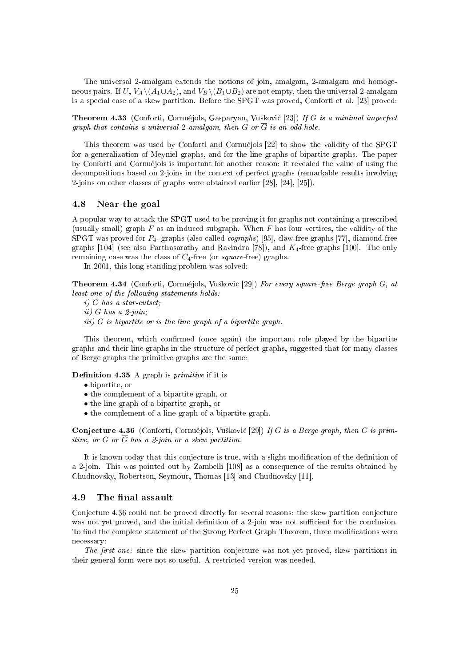The universal 2-amalgam extends the notions of join, amalgam, 2-amalgam and homogeneous pairs. If  $U$ ,  $V_A \setminus (A_1 \cup A_2)$ , and  $V_B \setminus (B_1 \cup B_2)$  are not empty, then the universal 2-amalgam is a special case of a skew partition. Before the SPGT was proved, Conforti et al. [23] proved:

**Theorem 4.33** (Conforti, Cornuéjols, Gasparyan, Vušković [23]) If G is a minimal imperfect graph that contains a universal 2-amalgam, then G or  $\overline{G}$  is an odd hole.

This theorem was used by Conforti and Cornuéjols [22] to show the validity of the SPGT for a generalization of Meyniel graphs, and for the line graphs of bipartite graphs. The paper by Conforti and Cornuéjols is important for another reason: it revealed the value of using the decompositions based on 2-joins in the context of perfect graphs (remarkable results involving 2-joins on other classes of graphs were obtained earlier [28], [24], [25]).

### 4.8 Near the goal

A popular way to attack the SPGT used to be proving it for graphs not containing a prescribed (usually small) graph  $F$  as an induced subgraph. When  $F$  has four vertices, the validity of the SPGT was proved for  $P_{4}$ - graphs (also called *cographs*) [95], claw-free graphs [77], diamond-free graphs  $[104]$  (see also Parthasarathy and Ravindra [78]), and  $K_4$ -free graphs [100]. The only remaining case was the class of  $C_4$ -free (or square-free) graphs.

In 2001, this long standing problem was solved:

**Theorem 4.34** (Conforti, Cornuéjols, Vušković [29]) For every square-free Berge graph  $G$ , at least one of the following statements holds:

i) G has a star-cutset; ii) G has a  $2$ -join; iii)  $G$  is bipartite or is the line graph of a bipartite graph.

This theorem, which confirmed (once again) the important role played by the bipartite graphs and their line graphs in the structure of perfect graphs, suggested that for many classes of Berge graphs the primitive graphs are the same:

**Definition 4.35** A graph is *primitive* if it is

- bipartite, or
- the complement of a bipartite graph, or
- the line graph of a bipartite graph, or
- the complement of a line graph of a bipartite graph.

**Conjecture 4.36** (Conforti, Cornuéjols, Vušković [29]) If G is a Berge graph, then G is primitive, or G or  $\overline{G}$  has a 2-join or a skew partition.

It is known today that this conjecture is true, with a slight modification of the definition of a 2-join. This was pointed out by Zambelli [108] as a consequence of the results obtained by Chudnovsky, Robertson, Seymour, Thomas [13] and Chudnovsky [11].

### 4.9 The final assault

Conjecture 4.36 could not be proved directly for several reasons: the skew partition conjecture was not yet proved, and the initial definition of a 2-join was not sufficient for the conclusion. To find the complete statement of the Strong Perfect Graph Theorem, three modifications were necessary:

The first one: since the skew partition conjecture was not yet proved, skew partitions in their general form were not so useful. A restricted version was needed.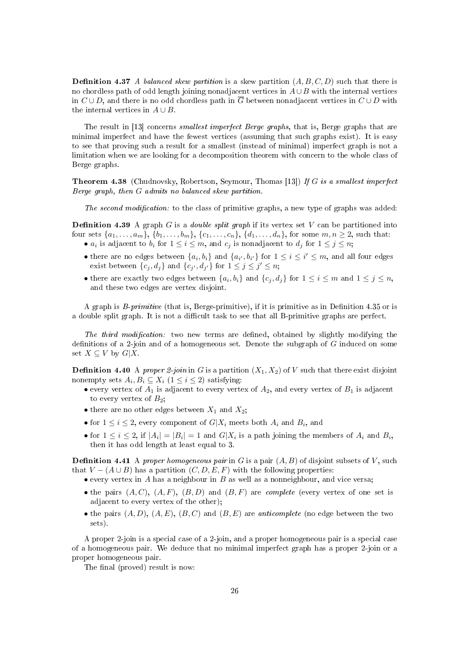**Definition 4.37** A balanced skew partition is a skew partition  $(A, B, C, D)$  such that there is no chordless path of odd length joining nonadjacent vertices in  $A \cup B$  with the internal vertices in  $C \cup D$ , and there is no odd chordless path in  $\overline{G}$  between nonadiacent vertices in  $C \cup D$  with the internal vertices in  $A \cup B$ .

The result in [13] concerns smallest imperfect Berge graphs, that is, Berge graphs that are minimal imperfect and have the fewest vertices (assuming that such graphs exist). It is easy to see that proving such a result for a smallest (instead of minimal) imperfect graph is not a limitation when we are looking for a decomposition theorem with concern to the whole class of Berge graphs.

**Theorem 4.38** (Chudnovsky, Robertson, Seymour, Thomas [13]) If G is a smallest imperfect Berge graph, then G admits no balanced skew partition.

The second modification: to the class of primitive graphs, a new type of graphs was added:

**Definition 4.39** A graph G is a *double split graph* if its vertex set V can be partitioned into four sets  $\{a_1, \ldots, a_m\}, \{b_1, \ldots, b_m\}, \{c_1, \ldots, c_n\}, \{d_1, \ldots, d_n\},$  for some  $m, n \geq 2$ , such that: •  $a_i$  is adjacent to  $b_i$  for  $1 \leq i \leq m$ , and  $c_j$  is nonadjacent to  $d_j$  for  $1 \leq j \leq n$ ;

- there are no edges between  $\{a_i, b_i\}$  and  $\{a_{i'}, b_{i'}\}$  for  $1 \leq i \leq i' \leq m$ , and all four edges exist between  $\{c_j, d_j\}$  and  $\{c_{j'}, d_{j'}\}$  for  $1 \leq j \leq j' \leq n$ ;
- there are exactly two edges between  $\{a_i, b_i\}$  and  $\{c_j, d_j\}$  for  $1 \leq i \leq m$  and  $1 \leq j \leq n$ , and these two edges are vertex disjoint.

A graph is  $B\text{-}primitive$  (that is, Berge-primitive), if it is primitive as in Definition 4.35 or is a double split graph. It is not a difficult task to see that all B-primitive graphs are perfect.

The third modification: two new terms are defined, obtained by slightly modifying the definitions of a 2-join and of a homogeneous set. Denote the subgraph of  $G$  induced on some set  $X \subseteq V$  by  $G|X$ .

**Definition 4.40** A proper 2-join in G is a partition  $(X_1, X_2)$  of V such that there exist disjoint nonempty sets  $A_i, B_i \subseteq X_i \ (1 \leq i \leq 2)$  satisfying:

- every vertex of  $A_1$  is adjacent to every vertex of  $A_2$ , and every vertex of  $B_1$  is adjacent to every vertex of  $B_2$ ;
- there are no other edges between  $X_1$  and  $X_2$ ;
- for  $1 \leq i \leq 2$ , every component of  $G|X_i$  meets both  $A_i$  and  $B_i$ , and
- for  $1 \leq i \leq 2$ , if  $|A_i| = |B_i| = 1$  and  $G|X_i$  is a path joining the members of  $A_i$  and  $B_i$ , then it has odd length at least equal to 3.

**Definition 4.41** A proper homogeneous pair in G is a pair  $(A, B)$  of disjoint subsets of V, such that  $V - (A \cup B)$  has a partition  $(C, D, E, F)$  with the following properties:

- every vertex in  $A$  has a neighbour in  $B$  as well as a nonneighbour, and vice versa;
- the pairs  $(A, C)$ ,  $(A, F)$ ,  $(B, D)$  and  $(B, F)$  are *complete* (every vertex of one set is adjacent to every vertex of the other);
- the pairs  $(A, D), (A, E), (B, C)$  and  $(B, E)$  are *anticomplete* (no edge between the two sets).

A proper 2-join is a special case of a 2-join, and a proper homogeneous pair is a special case of a homogeneous pair. We deduce that no minimal imperfect graph has a proper 2-join or a proper homogeneous pair.

The final (proved) result is now: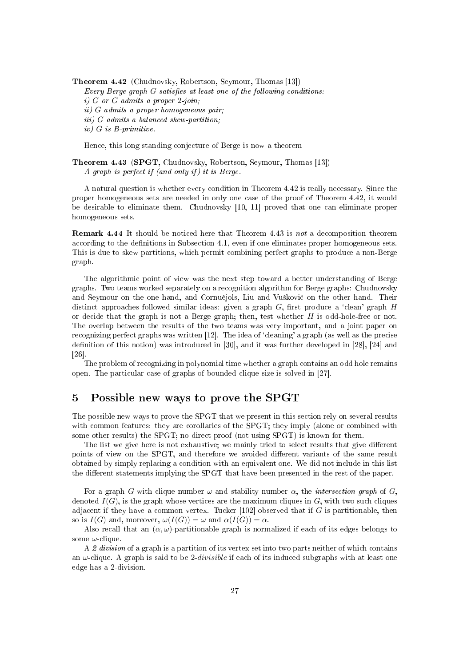Theorem 4.42 (Chudnovsky, Robertson, Seymour, Thomas [13]) Every Berge graph  $G$  satisfies at least one of the following conditions: i) G or  $\overline{G}$  admits a proper 2-join: ii) G admits a proper homogeneous pair; iii) G admits a balanced skew-partition;  $iv)$  G is B-primitive.

Hence, this long standing conjecture of Berge is now a theorem

Theorem 4.43 (SPGT, Chudnovsky, Robertson, Seymour, Thomas [13]) A graph is perfect if (and only if) it is Berge.

A natural question is whether every condition in Theorem 4.42 is really necessary. Since the proper homogeneous sets are needed in only one case of the proof of Theorem 4.42, it would be desirable to eliminate them. Chudnovsky [10, 11] proved that one can eliminate proper homogeneous sets.

Remark 4.44 It should be noticed here that Theorem 4.43 is not a decomposition theorem according to the definitions in Subsection 4.1, even if one eliminates proper homogeneous sets. This is due to skew partitions, which permit combining perfect graphs to produce a non-Berge graph.

The algorithmic point of view was the next step toward a better understanding of Berge graphs. Two teams worked separately on a recognition algorithm for Berge graphs: Chudnovsky and Seymour on the one hand, and Cornuéjols, Liu and Vušković on the other hand. Their distinct approaches followed similar ideas: given a graph  $G$ , first produce a 'clean' graph  $H$ or decide that the graph is not a Berge graph; then, test whether  $H$  is odd-hole-free or not. The overlap between the results of the two teams was very important, and a joint paper on recognizing perfect graphs was written [12]. The idea of 'cleaning' a graph (as well as the precise definition of this notion) was introduced in  $[30]$ , and it was further developed in  $[28]$ ,  $[24]$  and [26].

The problem of recognizing in polynomial time whether a graph contains an odd hole remains open. The particular case of graphs of bounded clique size is solved in [27].

# 5 Possible new ways to prove the SPGT

The possible new ways to prove the SPGT that we present in this section rely on several results with common features: they are corollaries of the SPGT; they imply (alone or combined with some other results) the SPGT; no direct proof (not using SPGT) is known for them.

The list we give here is not exhaustive; we mainly tried to select results that give different points of view on the SPGT, and therefore we avoided different variants of the same result obtained by simply replacing a condition with an equivalent one. We did not include in this list the different statements implying the  $SPGT$  that have been presented in the rest of the paper.

For a graph G with clique number  $\omega$  and stability number  $\alpha$ , the *intersection graph* of G, denoted  $I(G)$ , is the graph whose vertices are the maximum cliques in G, with two such cliques adjacent if they have a common vertex. Tucker  $[102]$  observed that if G is partitionable, then so is  $I(G)$  and, moreover,  $\omega(I(G)) = \omega$  and  $\alpha(I(G)) = \alpha$ .

Also recall that an  $(\alpha, \omega)$ -partitionable graph is normalized if each of its edges belongs to some  $\omega$ -clique.

A 2-division of a graph is a partition of its vertex set into two parts neither of which contains an  $\omega$ -clique. A graph is said to be 2-*divisible* if each of its induced subgraphs with at least one edge has a 2-division.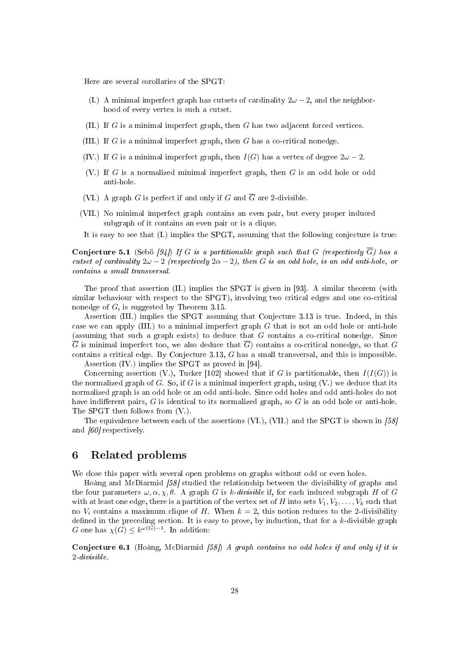Here are several corollaries of the SPGT:

- (I.) A minimal imperfect graph has cutsets of cardinality  $2\omega 2$ , and the neighborhood of every vertex is such a cutset.
- (II.) If  $G$  is a minimal imperfect graph, then  $G$  has two adjacent forced vertices.
- (III.) If G is a minimal imperfect graph, then G has a co-critical nonedge.
- (IV.) If G is a minimal imperfect graph, then  $I(G)$  has a vertex of degree  $2\omega 2$ .
- $(V, )$  If G is a normalized minimal imperfect graph, then G is an odd hole or odd anti-hole.
- (VI.) A graph G is perfect if and only if G and  $\overline{G}$  are 2-divisible.
- (VII.) No minimal imperfect graph contains an even pair, but every proper induced subgraph of it contains an even pair or is a clique.
- It is easy to see that (I.) implies the SPGT, assuming that the following conjecture is true:

**Conjecture 5.1** (Sebö [94]) If G is a partitionable graph such that G (respectively  $\overline{G}$ ) has a cutset of cardinality  $2\omega - 2$  (respectively  $2\alpha - 2$ ), then G is an odd hole, is an odd anti-hole, or contains a small transversal.

The proof that assertion (II.) implies the SPGT is given in [93]. A similar theorem (with similar behaviour with respect to the SPGT), involving two critical edges and one co-critical nonedge of  $G$ , is suggested by Theorem 3.15.

Assertion (III.) implies the SPGT assuming that Conjecture 3.13 is true. Indeed, in this case we can apply  $(III)$  to a minimal imperfect graph G that is not an odd hole or anti-hole (assuming that such a graph exists) to deduce that  $G$  contains a co-critical nonedge. Since  $\overline{G}$  is minimal imperfect too, we also deduce that  $\overline{G}$ ) contains a co-critical nonedge, so that G contains a critical edge. By Conjecture 3.13, G has a small transversal, and this is impossible.

Assertion (IV.) implies the SPGT as proved in [94].

Concerning assertion (V.), Tucker [102] showed that if G is partitionable, then  $I(I(G))$  is the normalized graph of G. So, if G is a minimal imperfect graph, using  $(V)$  we deduce that its normalized graph is an odd hole or an odd anti-hole. Since odd holes and odd anti-holes do not have indifferent pairs,  $G$  is identical to its normalized graph, so  $G$  is an odd hole or anti-hole. The SPGT then follows from (V.).

The equivalence between each of the assertions (VI.), (VII.) and the SPGT is shown in [58] and [60] respectively.

# 6 Related problems

We close this paper with several open problems on graphs without odd or even holes.

Hoàng and McDiarmid [58] studied the relationship between the divisibility of graphs and the four parameters  $\omega, \alpha, \chi, \theta$ . A graph G is k-divisible if, for each induced subgraph H of G with at least one edge, there is a partition of the vertex set of H into sets  $V_1, V_2, \ldots, V_k$  such that no  $V_i$  contains a maximum clique of H. When  $k = 2$ , this notion reduces to the 2-divisibility defined in the preceding section. It is easy to prove, by induction, that for a  $k$ -divisible graph G one has  $\chi(G) \leq k^{\omega(G)-1}$ . In addition:

**Conjecture 6.1** (Hoàng, McDiarmid [58]) A graph contains no odd holes if and only if it is 2-divisible.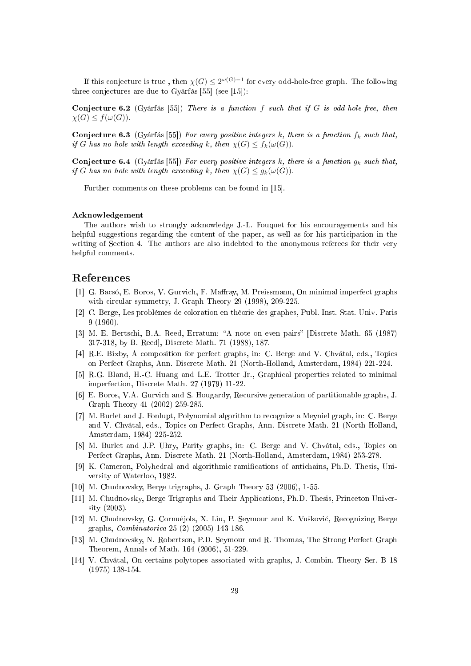If this conjecture is true , then  $\chi(G) \leq 2^{\omega(G)-1}$  for every odd-hole-free graph. The following three conjectures are due to Gyárfás [55] (see [15]):

**Conjecture 6.2** (Gyárfás [55]) There is a function f such that if G is odd-hole-free, then  $\chi(G) \leq f(\omega(G)).$ 

**Conjecture 6.3** (Gyárfás [55]) For every positive integers k, there is a function  $f_k$  such that, if G has no hole with length exceeding k, then  $\chi(G) \leq f_k(\omega(G))$ .

**Conjecture 6.4** (Gyárfás [55]) For every positive integers k, there is a function  $g_k$  such that, if G has no hole with length exceeding k, then  $\chi(G) \leq q_k(\omega(G))$ .

Further comments on these problems can be found in [15].

#### Acknowledgement

The authors wish to strongly acknowledge J.-L. Fouquet for his encouragements and his helpful suggestions regarding the content of the paper, as well as for his participation in the writing of Section 4. The authors are also indebted to the anonymous referees for their very helpful comments.

# References

- [1] G. Bacsó, E. Boros, V. Gurvich, F. Maffray, M. Preissmann, On minimal imperfect graphs with circular symmetry, J. Graph Theory 29 (1998), 209-225.
- [2] C. Berge, Les problèmes de coloration en théorie des graphes, Publ. Inst. Stat. Univ. Paris 9 (1960).
- [3] M. E. Bertschi, B.A. Reed, Erratum: "A note on even pairs" [Discrete Math. 65 (1987) 317-318, by B. Reed], Discrete Math. 71 (1988), 187.
- [4] R.E. Bixby, A composition for perfect graphs, in: C. Berge and V. Chvátal, eds., Topics on Perfect Graphs, Ann. Discrete Math. 21 (North-Holland, Amsterdam, 1984) 221-224.
- [5] R.G. Bland, H.-C. Huang and L.E. Trotter Jr., Graphical properties related to minimal imperfection, Discrete Math. 27 (1979) 11-22.
- [6] E. Boros, V.A. Gurvich and S. Hougardy, Recursive generation of partitionable graphs, J. Graph Theory 41 (2002) 259-285.
- [7] M. Burlet and J. Fonlupt, Polynomial algorithm to recognize a Meyniel graph, in: C. Berge and V. Chvátal, eds., Topics on Perfect Graphs, Ann. Discrete Math. 21 (North-Holland, Amsterdam, 1984) 225-252.
- [8] M. Burlet and J.P. Uhry, Parity graphs, in: C. Berge and V. Chvátal, eds., Topics on Perfect Graphs, Ann. Discrete Math. 21 (North-Holland, Amsterdam, 1984) 253-278.
- [9] K. Cameron, Polyhedral and algorithmic ramications of antichains, Ph.D. Thesis, University of Waterloo, 1982.
- [10] M. Chudnovsky, Berge trigraphs, J. Graph Theory 53 (2006), 1-55.
- [11] M. Chudnovsky, Berge Trigraphs and Their Applications, Ph.D. Thesis, Princeton University (2003).
- [12] M. Chudnovsky, G. Cornuéjols, X. Liu, P. Seymour and K. Vu²kovi¢, Recognizing Berge graphs, Combinatorica 25 (2) (2005) 143-186.
- [13] M. Chudnovsky, N. Robertson, P.D. Seymour and R. Thomas, The Strong Perfect Graph Theorem, Annals of Math. 164 (2006), 51-229.
- [14] V. Chvátal, On certains polytopes associated with graphs, J. Combin. Theory Ser. B 18 (1975) 138-154.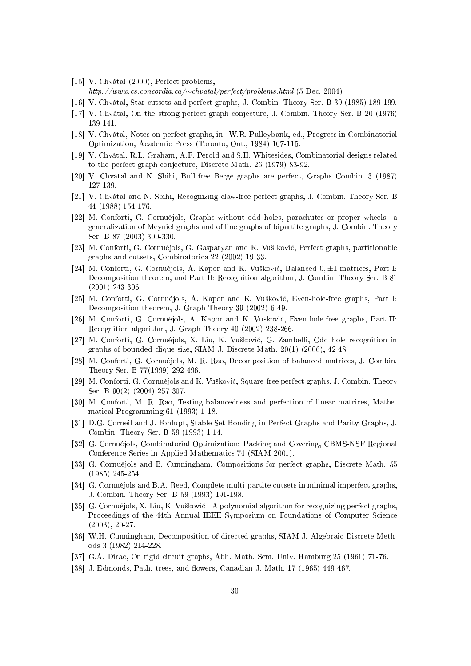- [15] V. Chvátal (2000), Perfect problems, http://www.cs.concordia.ca/∼chvatal/perfect/problems.html (5 Dec. 2004)
- [16] V. Chvátal, Star-cutsets and perfect graphs, J. Combin. Theory Ser. B 39 (1985) 189-199.
- [17] V. Chvátal, On the strong perfect graph conjecture, J. Combin. Theory Ser. B 20 (1976) 139-141.
- [18] V. Chvátal, Notes on perfect graphs, in: W.R. Pulleybank, ed., Progress in Combinatorial Optimization, Academic Press (Toronto, Ont., 1984) 107-115.
- [19] V. Chvátal, R.L. Graham, A.F. Perold and S.H. Whitesides, Combinatorial designs related to the perfect graph conjecture, Discrete Math. 26 (1979) 83-92.
- [20] V. Chvátal and N. Sbihi, Bull-free Berge graphs are perfect, Graphs Combin. 3 (1987) 127-139.
- [21] V. Chvátal and N. Sbihi, Recognizing claw-free perfect graphs, J. Combin. Theory Ser. B 44 (1988) 154-176.
- [22] M. Conforti, G. Cornuéjols, Graphs without odd holes, parachutes or proper wheels: a generalization of Meyniel graphs and of line graphs of bipartite graphs, J. Combin. Theory Ser. B 87 (2003) 300-330.
- [23] M. Conforti, G. Cornuéjols, G. Gasparyan and K. Vu² kovi¢, Perfect graphs, partitionable graphs and cutsets, Combinatorica 22 (2002) 19-33.
- [24] M. Conforti, G. Cornuéjols, A. Kapor and K. Vušković, Balanced  $0, \pm 1$  matrices, Part I: Decomposition theorem, and Part II: Recognition algorithm, J. Combin. Theory Ser. B 81 (2001) 243-306.
- [25] M. Conforti, G. Cornuéjols, A. Kapor and K. Vu²kovi¢, Even-hole-free graphs, Part I: Decomposition theorem, J. Graph Theory 39 (2002) 6-49.
- [26] M. Conforti, G. Cornuéjols, A. Kapor and K. Vu²kovi¢, Even-hole-free graphs, Part II: Recognition algorithm, J. Graph Theory 40 (2002) 238-266.
- [27] M. Conforti, G. Cornuéjols, X. Liu, K. Vu²kovi¢, G. Zambelli, Odd hole recognition in graphs of bounded clique size, SIAM J. Discrete Math. 20(1) (2006), 42-48.
- [28] M. Conforti, G. Cornuéjols, M. R. Rao, Decomposition of balanced matrices, J. Combin. Theory Ser. B 77(1999) 292-496.
- [29] M. Conforti, G. Cornuéjols and K. Vušković, Square-free perfect graphs, J. Combin. Theory Ser. B 90(2) (2004) 257-307.
- [30] M. Conforti, M. R. Rao, Testing balancedness and perfection of linear matrices, Mathematical Programming 61 (1993) 1-18.
- [31] D.G. Corneil and J. Fonlupt, Stable Set Bonding in Perfect Graphs and Parity Graphs, J. Combin. Theory Ser. B 59 (1993) 1-14.
- [32] G. Cornuéjols, Combinatorial Optimization: Packing and Covering, CBMS-NSF Regional Conference Series in Applied Mathematics 74 (SIAM 2001).
- [33] G. Cornuéjols and B. Cunningham, Compositions for perfect graphs, Discrete Math. 55 (1985) 245-254.
- [34] G. Cornuéjols and B.A. Reed, Complete multi-partite cutsets in minimal imperfect graphs, J. Combin. Theory Ser. B 59 (1993) 191-198.
- [35] G. Cornuéjols, X. Liu, K. Vušković A polynomial algorithm for recognizing perfect graphs, Proceedings of the 44th Annual IEEE Symposium on Foundations of Computer Science (2003), 20-27.
- [36] W.H. Cunningham, Decomposition of directed graphs, SIAM J. Algebraic Discrete Methods 3 (1982) 214-228.
- [37] G.A. Dirac, On rigid circuit graphs, Abh. Math. Sem. Univ. Hamburg 25 (1961) 71-76.
- [38] J. Edmonds, Path, trees, and flowers, Canadian J. Math.  $17$  (1965) 449-467.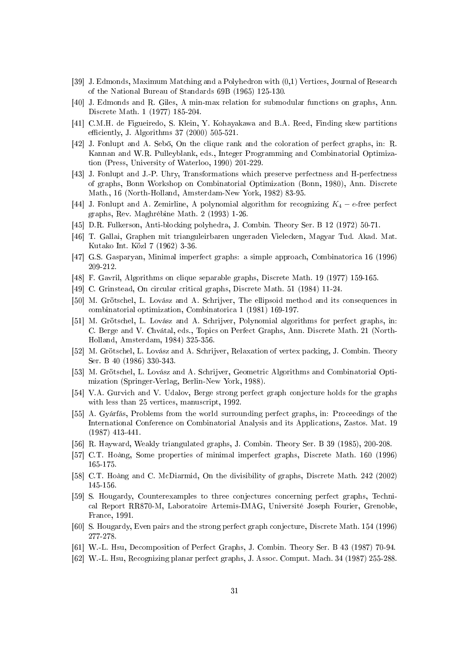- [39] J. Edmonds, Maximum Matching and a Polyhedron with (0,1) Vertices, Journal of Research of the National Bureau of Standards 69B (1965) 125-130.
- [40] J. Edmonds and R. Giles, A min-max relation for submodular functions on graphs, Ann. Discrete Math. 1 (1977) 185-204.
- [41] C.M.H. de Figueiredo, S. Klein, Y. Kohayakawa and B.A. Reed, Finding skew partitions efficiently, J. Algorithms  $37$  (2000)  $505-521$ .
- [42] J. Fonlupt and A. Sebő, On the clique rank and the coloration of perfect graphs, in: R. Kannan and W.R. Pulleyblank, eds., Integer Programming and Combinatorial Optimization (Press, University of Waterloo, 1990) 201-229.
- [43] J. Fonlupt and J.-P. Uhry, Transformations which preserve perfectness and H-perfectness of graphs, Bonn Workshop on Combinatorial Optimization (Bonn, 1980), Ann. Discrete Math., 16 (North-Holland, Amsterdam-New York, 1982) 83-95.
- [44] J. Fonlupt and A. Zemirline, A polynomial algorithm for recognizing  $K_4 e$ -free perfect graphs, Rev. Maghrébine Math. 2 (1993) 1-26.
- [45] D.R. Fulkerson, Anti-blocking polyhedra, J. Combin. Theory Ser. B 12 (1972) 50-71.
- [46] T. Gallai, Graphen mit trianguleirbaren ungeraden Vielecken, Magyar Tud. Akad. Mat. Kutako Int. Közl 7 (1962) 3-36.
- [47] G.S. Gasparyan, Minimal imperfect graphs: a simple approach, Combinatorica 16 (1996) 209-212.
- [48] F. Gavril, Algorithms on clique separable graphs, Discrete Math. 19 (1977) 159-165.
- [49] C. Grinstead, On circular critical graphs, Discrete Math. 51 (1984) 11-24.
- [50] M. Grötschel, L. Lovász and A. Schrijver, The ellipsoid method and its consequences in combinatorial optimization, Combinatorica 1 (1981) 169-197.
- [51] M. Grötschel, L. Lovász and A. Schrijver, Polynomial algorithms for perfect graphs, in: C. Berge and V. Chvátal, eds., Topics on Perfect Graphs, Ann. Discrete Math. 21 (North-Holland, Amsterdam, 1984) 325-356.
- [52] M. Grötschel, L. Lovász and A. Schrijver, Relaxation of vertex packing, J. Combin. Theory Ser. B 40 (1986) 330-343.
- [53] M. Grötschel, L. Lovász and A. Schrijver, Geometric Algorithms and Combinatorial Optimization (Springer-Verlag, Berlin-New York, 1988).
- [54] V.A. Gurvich and V. Udalov, Berge strong perfect graph conjecture holds for the graphs with less than 25 vertices, manuscript, 1992.
- [55] A. Gyárfás, Problems from the world surrounding perfect graphs, in: Proceedings of the International Conference on Combinatorial Analysis and its Applications, Zastos. Mat. 19 (1987) 413-441.
- [56] R. Hayward, Weakly triangulated graphs, J. Combin. Theory Ser. B 39 (1985), 200-208.
- [57] C.T. Hoàng, Some properties of minimal imperfect graphs, Discrete Math. 160 (1996) 165-175.
- [58] C.T. Hoàng and C. McDiarmid, On the divisibility of graphs, Discrete Math. 242 (2002) 145-156.
- [59] S. Hougardy, Counterexamples to three conjectures concerning perfect graphs, Technical Report RR870-M, Laboratoire Artemis-IMAG, Université Joseph Fourier, Grenoble, France, 1991.
- [60] S. Hougardy, Even pairs and the strong perfect graph conjecture, Discrete Math. 154 (1996) 277-278.
- [61] W.-L. Hsu, Decomposition of Perfect Graphs, J. Combin. Theory Ser. B 43 (1987) 70-94.
- [62] W.-L. Hsu, Recognizing planar perfect graphs, J. Assoc. Comput. Mach. 34 (1987) 255-288.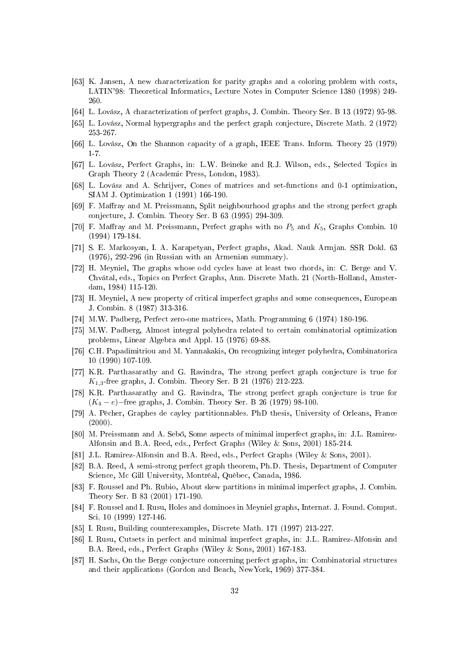- [63] K. Jansen, A new characterization for parity graphs and a coloring problem with costs, LATIN'98: Theoretical Informatics, Lecture Notes in Computer Science 1380 (1998) 249- 260.
- [64] L. Lovász, A characterization of perfect graphs, J. Combin. Theory Ser. B 13 (1972) 95-98.
- [65] L. Lovász, Normal hypergraphs and the perfect graph conjecture, Discrete Math. 2 (1972) 253-267.
- [66] L. Lovász, On the Shannon capacity of a graph, IEEE Trans. Inform. Theory 25 (1979) 1-7.
- [67] L. Lovász, Perfect Graphs, in: L.W. Beineke and R.J. Wilson, eds., Selected Topics in Graph Theory 2 (Academic Press, London, 1983).
- [68] L. Lovász and A. Schrijver, Cones of matrices and set-functions and 0-1 optimization, SIAM J. Optimization 1 (1991) 166-190.
- [69] F. Maray and M. Preissmann, Split neighbourhood graphs and the strong perfect graph conjecture, J. Combin. Theory Ser. B 63 (1995) 294-309.
- [70] F. Maffray and M. Preissmann, Perfect graphs with no  $P_5$  and  $K_5$ , Graphs Combin. 10 (1994) 179-184.
- [71] S. E. Markosyan, I. A. Karapetyan, Perfect graphs, Akad. Nauk Armjan. SSR Dokl. 63 (1976), 292-296 (in Russian with an Armenian summary).
- [72] H. Meyniel, The graphs whose odd cycles have at least two chords, in: C. Berge and V. Chvátal, eds., Topics on Perfect Graphs, Ann. Discrete Math. 21 (North-Holland, Amsterdam, 1984) 115-120.
- [73] H. Meyniel, A new property of critical imperfect graphs and some consequences, European J. Combin. 8 (1987) 313-316.
- [74] M.W. Padberg, Perfect zero-one matrices, Math. Programming 6 (1974) 180-196.
- [75] M.W. Padberg, Almost integral polyhedra related to certain combinatorial optimization problems, Linear Algebra and Appl. 15 (1976) 69-88.
- [76] C.H. Papadimitriou and M. Yannakakis, On recognizing integer polyhedra, Combinatorica 10 (1990) 107-109.
- [77] K.R. Parthasarathy and G. Ravindra, The strong perfect graph conjecture is true for  $K_{1,3}$ -free graphs, J. Combin. Theory Ser. B 21 (1976) 212-223.
- [78] K.R. Parthasarathy and G. Ravindra, The strong perfect graph conjecture is true for  $(K_4 - e)$ –free graphs, J. Combin. Theory Ser. B 26 (1979) 98-100.
- [79] A. Pêcher, Graphes de cayley partitionnables. PhD thesis, University of Orleans, France  $(2000).$
- [80] M. Preissmann and A. Sebő, Some aspects of minimal imperfect graphs, in: J.L. Ramirez-Alfonsin and B.A. Reed, eds., Perfect Graphs (Wiley & Sons, 2001) 185-214.
- [81] J.L. Ramirez-Alfonsin and B.A. Reed, eds., Perfect Graphs (Wiley & Sons, 2001).
- [82] B.A. Reed, A semi-strong perfect graph theorem, Ph.D. Thesis, Department of Computer Science, Mc Gill University, Montréal, Québec, Canada, 1986.
- [83] F. Roussel and Ph. Rubio, About skew partitions in minimal imperfect graphs, J. Combin. Theory Ser. B 83 (2001) 171-190.
- [84] F. Roussel and I. Rusu, Holes and dominoes in Meyniel graphs, Internat. J. Found. Comput. Sci. 10 (1999) 127-146.
- [85] I. Rusu, Building counterexamples, Discrete Math. 171 (1997) 213-227.
- [86] I. Rusu, Cutsets in perfect and minimal imperfect graphs, in: J.L. Ramirez-Alfonsin and B.A. Reed, eds., Perfect Graphs (Wiley & Sons, 2001) 167-183.
- [87] H. Sachs, On the Berge conjecture concerning perfect graphs, in: Combinatorial structures and their applications (Gordon and Beach, NewYork, 1969) 377-384.